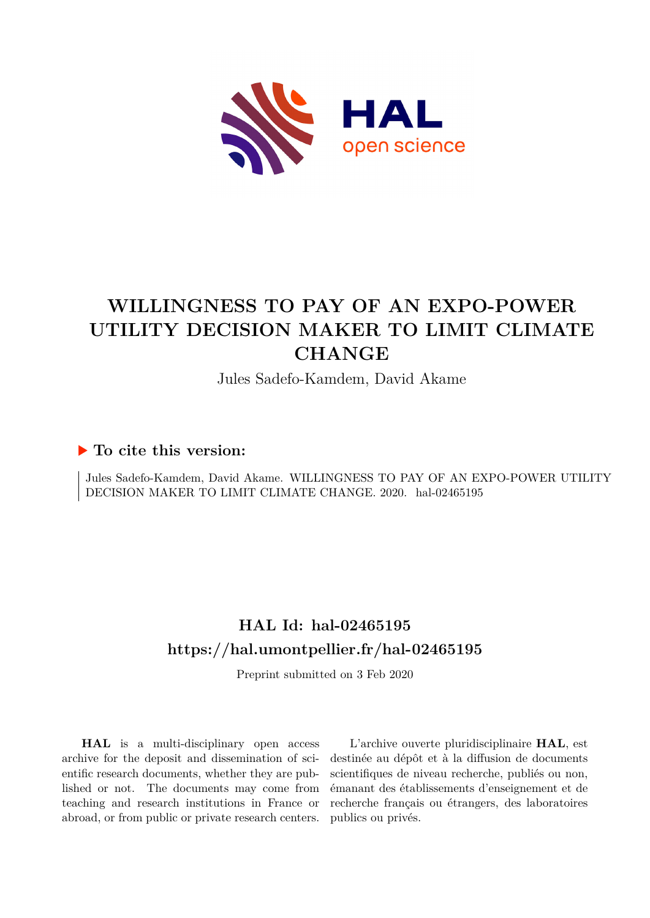

# **WILLINGNESS TO PAY OF AN EXPO-POWER UTILITY DECISION MAKER TO LIMIT CLIMATE CHANGE**

Jules Sadefo-Kamdem, David Akame

# **To cite this version:**

Jules Sadefo-Kamdem, David Akame. WILLINGNESS TO PAY OF AN EXPO-POWER UTILITY DECISION MAKER TO LIMIT CLIMATE CHANGE. 2020. hal-02465195

# **HAL Id: hal-02465195 <https://hal.umontpellier.fr/hal-02465195>**

Preprint submitted on 3 Feb 2020

**HAL** is a multi-disciplinary open access archive for the deposit and dissemination of scientific research documents, whether they are published or not. The documents may come from teaching and research institutions in France or abroad, or from public or private research centers.

L'archive ouverte pluridisciplinaire **HAL**, est destinée au dépôt et à la diffusion de documents scientifiques de niveau recherche, publiés ou non, émanant des établissements d'enseignement et de recherche français ou étrangers, des laboratoires publics ou privés.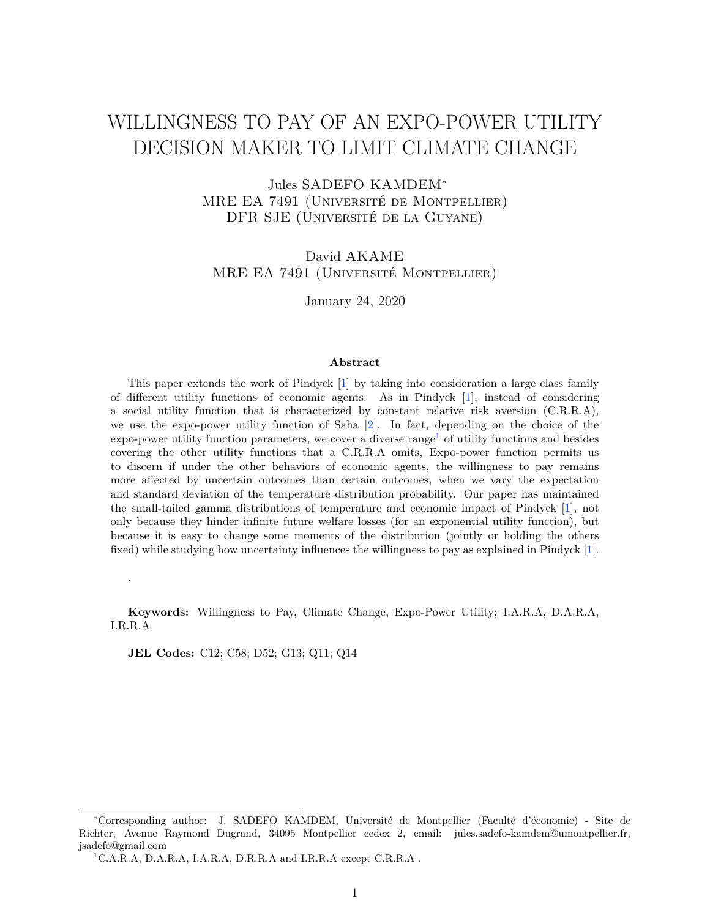# WILLINGNESS TO PAY OF AN EXPO-POWER UTILITY DECISION MAKER TO LIMIT CLIMATE CHANGE

Jules SADEFO KAMDEM<sup>∗</sup> MRE EA 7491 (Université de Montpellier) DFR SJE (Université de la Guyane)

David AKAME MRE EA 7491 (Université Montpellier)

January 24, 2020

#### **Abstract**

This paper extends the work of Pindyck [1] by taking into consideration a large class family of different utility functions of economic agents. As in Pindyck [1], instead of considering a social utility function that is characterized by constant relative risk aversion (C.R.R.A), we use the expo-power utility function of Saha [2]. In fact, depending on the choice of the  $\exp$ -power utility function parameters, we cover a diverse range<sup>1</sup> of utility functions and besides covering the other utility functions that a C.R.R.A omits, Expo-power function permits us to discern if under the other behaviors of economic agents, the willingness to pay remains more affected by uncertain outcomes than certain outcomes, when we vary the expectation and standard deviation of the temperature distribution probability. Our paper has maintained the small-tailed gamma distributions of temperature and economic impact of Pindyck [1], not only because they hinder infinite future welfare losses (for an exponential utility function), but because it is easy to change some moments of the distribution (jointly or holding the others fixed) while studying how uncertainty influences the willingness to pay as explained in Pindyck [1].

**Keywords:** Willingness to Pay, Climate Change, Expo-Power Utility; I.A.R.A, D.A.R.A, I.R.R.A

**JEL Codes:** C12; C58; D52; G13; Q11; Q14

.

<sup>∗</sup>Corresponding author: J. SADEFO KAMDEM, Université de Montpellier (Faculté d'économie) - Site de Richter, Avenue Raymond Dugrand, 34095 Montpellier cedex 2, email: jules.sadefo-kamdem@umontpellier.fr, jsadefo@gmail.com

<sup>1</sup>C.A.R.A, D.A.R.A, I.A.R.A, D.R.R.A and I.R.R.A except C.R.R.A .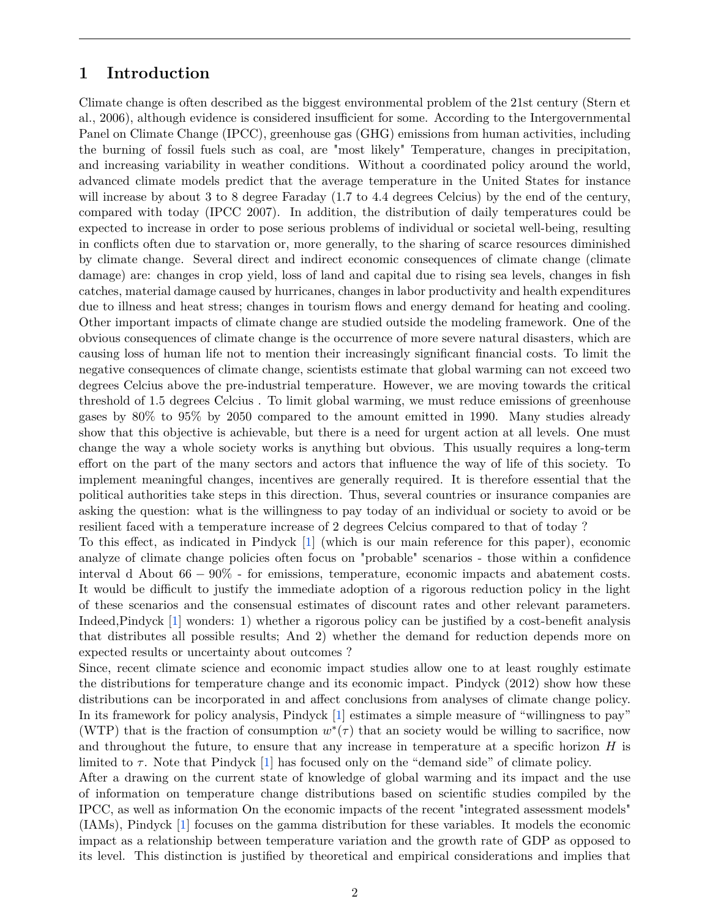## **1 Introduction**

Climate change is often described as the biggest environmental problem of the 21st century (Stern et al., 2006), although evidence is considered insufficient for some. According to the Intergovernmental Panel on Climate Change (IPCC), greenhouse gas (GHG) emissions from human activities, including the burning of fossil fuels such as coal, are "most likely" Temperature, changes in precipitation, and increasing variability in weather conditions. Without a coordinated policy around the world, advanced climate models predict that the average temperature in the United States for instance will increase by about 3 to 8 degree Faraday (1*.*7 to 4*.*4 degrees Celcius) by the end of the century, compared with today (IPCC 2007). In addition, the distribution of daily temperatures could be expected to increase in order to pose serious problems of individual or societal well-being, resulting in conflicts often due to starvation or, more generally, to the sharing of scarce resources diminished by climate change. Several direct and indirect economic consequences of climate change (climate damage) are: changes in crop yield, loss of land and capital due to rising sea levels, changes in fish catches, material damage caused by hurricanes, changes in labor productivity and health expenditures due to illness and heat stress; changes in tourism flows and energy demand for heating and cooling. Other important impacts of climate change are studied outside the modeling framework. One of the obvious consequences of climate change is the occurrence of more severe natural disasters, which are causing loss of human life not to mention their increasingly significant financial costs. To limit the negative consequences of climate change, scientists estimate that global warming can not exceed two degrees Celcius above the pre-industrial temperature. However, we are moving towards the critical threshold of 1*.*5 degrees Celcius . To limit global warming, we must reduce emissions of greenhouse gases by 80% to 95% by 2050 compared to the amount emitted in 1990. Many studies already show that this objective is achievable, but there is a need for urgent action at all levels. One must change the way a whole society works is anything but obvious. This usually requires a long-term effort on the part of the many sectors and actors that influence the way of life of this society. To implement meaningful changes, incentives are generally required. It is therefore essential that the political authorities take steps in this direction. Thus, several countries or insurance companies are asking the question: what is the willingness to pay today of an individual or society to avoid or be resilient faced with a temperature increase of 2 degrees Celcius compared to that of today ?

To this effect, as indicated in Pindyck [1] (which is our main reference for this paper), economic analyze of climate change policies often focus on "probable" scenarios - those within a confidence interval d About 66 − 90% - for emissions, temperature, economic impacts and abatement costs. It would be difficult to justify the immediate adoption of a rigorous reduction policy in the light of these scenarios and the consensual estimates of discount rates and other relevant parameters. Indeed,Pindyck [1] wonders: 1) whether a rigorous policy can be justified by a cost-benefit analysis that distributes all possible results; And 2) whether the demand for reduction depends more on expected results or uncertainty about outcomes ?

Since, recent climate science and economic impact studies allow one to at least roughly estimate the distributions for temperature change and its economic impact. Pindyck (2012) show how these distributions can be incorporated in and affect conclusions from analyses of climate change policy. In its framework for policy analysis, Pindyck [1] estimates a simple measure of "willingness to pay" (WTP) that is the fraction of consumption  $w^*(\tau)$  that an society would be willing to sacrifice, now and throughout the future, to ensure that any increase in temperature at a specific horizon *H* is limited to *τ* . Note that Pindyck [1] has focused only on the "demand side" of climate policy.

After a drawing on the current state of knowledge of global warming and its impact and the use of information on temperature change distributions based on scientific studies compiled by the IPCC, as well as information On the economic impacts of the recent "integrated assessment models" (IAMs), Pindyck [1] focuses on the gamma distribution for these variables. It models the economic impact as a relationship between temperature variation and the growth rate of GDP as opposed to its level. This distinction is justified by theoretical and empirical considerations and implies that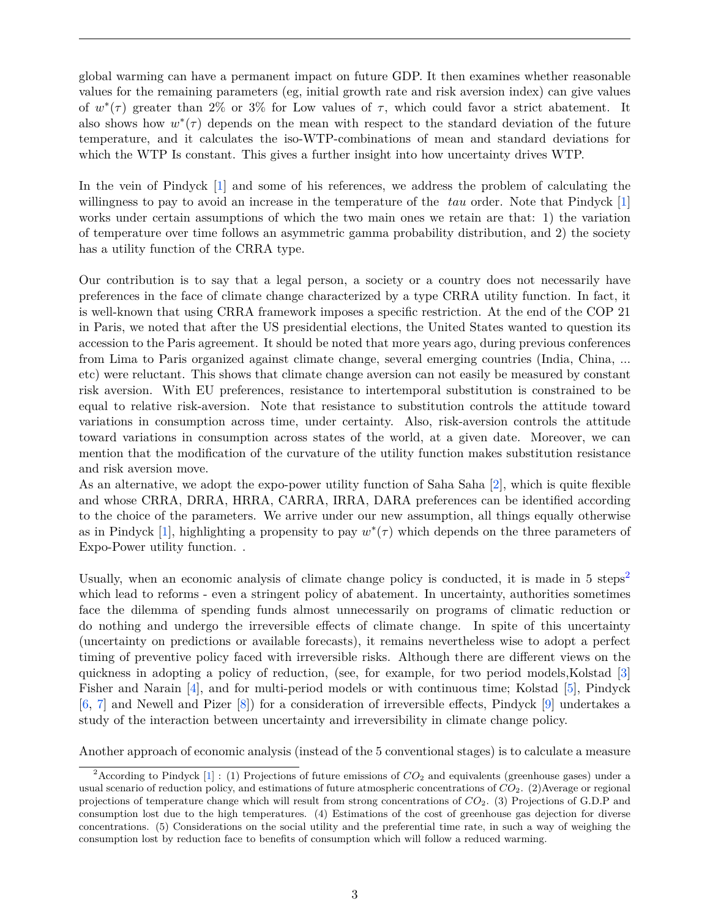global warming can have a permanent impact on future GDP. It then examines whether reasonable values for the remaining parameters (eg, initial growth rate and risk aversion index) can give values of  $w^*(\tau)$  greater than 2% or 3% for Low values of  $\tau$ , which could favor a strict abatement. It also shows how  $w^*(\tau)$  depends on the mean with respect to the standard deviation of the future temperature, and it calculates the iso-WTP-combinations of mean and standard deviations for which the WTP Is constant. This gives a further insight into how uncertainty drives WTP.

In the vein of Pindyck [1] and some of his references, we address the problem of calculating the willingness to pay to avoid an increase in the temperature of the *tau* order. Note that Pindyck [1] works under certain assumptions of which the two main ones we retain are that: 1) the variation of temperature over time follows an asymmetric gamma probability distribution, and 2) the society has a utility function of the CRRA type.

Our contribution is to say that a legal person, a society or a country does not necessarily have preferences in the face of climate change characterized by a type CRRA utility function. In fact, it is well-known that using CRRA framework imposes a specific restriction. At the end of the COP 21 in Paris, we noted that after the US presidential elections, the United States wanted to question its accession to the Paris agreement. It should be noted that more years ago, during previous conferences from Lima to Paris organized against climate change, several emerging countries (India, China, ... etc) were reluctant. This shows that climate change aversion can not easily be measured by constant risk aversion. With EU preferences, resistance to intertemporal substitution is constrained to be equal to relative risk-aversion. Note that resistance to substitution controls the attitude toward variations in consumption across time, under certainty. Also, risk-aversion controls the attitude toward variations in consumption across states of the world, at a given date. Moreover, we can mention that the modification of the curvature of the utility function makes substitution resistance and risk aversion move.

As an alternative, we adopt the expo-power utility function of Saha Saha [2], which is quite flexible and whose CRRA, DRRA, HRRA, CARRA, IRRA, DARA preferences can be identified according to the choice of the parameters. We arrive under our new assumption, all things equally otherwise as in Pindyck [1], highlighting a propensity to pay  $w^*(\tau)$  which depends on the three parameters of Expo-Power utility function. .

Usually, when an economic analysis of climate change policy is conducted, it is made in 5 steps<sup>2</sup> which lead to reforms - even a stringent policy of abatement. In uncertainty, authorities sometimes face the dilemma of spending funds almost unnecessarily on programs of climatic reduction or do nothing and undergo the irreversible effects of climate change. In spite of this uncertainty (uncertainty on predictions or available forecasts), it remains nevertheless wise to adopt a perfect timing of preventive policy faced with irreversible risks. Although there are different views on the quickness in adopting a policy of reduction, (see, for example, for two period models,Kolstad [3] Fisher and Narain [4], and for multi-period models or with continuous time; Kolstad [5], Pindyck [6, 7] and Newell and Pizer [8]) for a consideration of irreversible effects, Pindyck [9] undertakes a study of the interaction between uncertainty and irreversibility in climate change policy.

Another approach of economic analysis (instead of the 5 conventional stages) is to calculate a measure

<sup>&</sup>lt;sup>2</sup> According to Pindyck  $[1]$ : (1) Projections of future emissions of  $CO_2$  and equivalents (greenhouse gases) under a usual scenario of reduction policy, and estimations of future atmospheric concentrations of *CO*2. (2)Average or regional projections of temperature change which will result from strong concentrations of *CO*2. (3) Projections of G.D.P and consumption lost due to the high temperatures. (4) Estimations of the cost of greenhouse gas dejection for diverse concentrations. (5) Considerations on the social utility and the preferential time rate, in such a way of weighing the consumption lost by reduction face to benefits of consumption which will follow a reduced warming.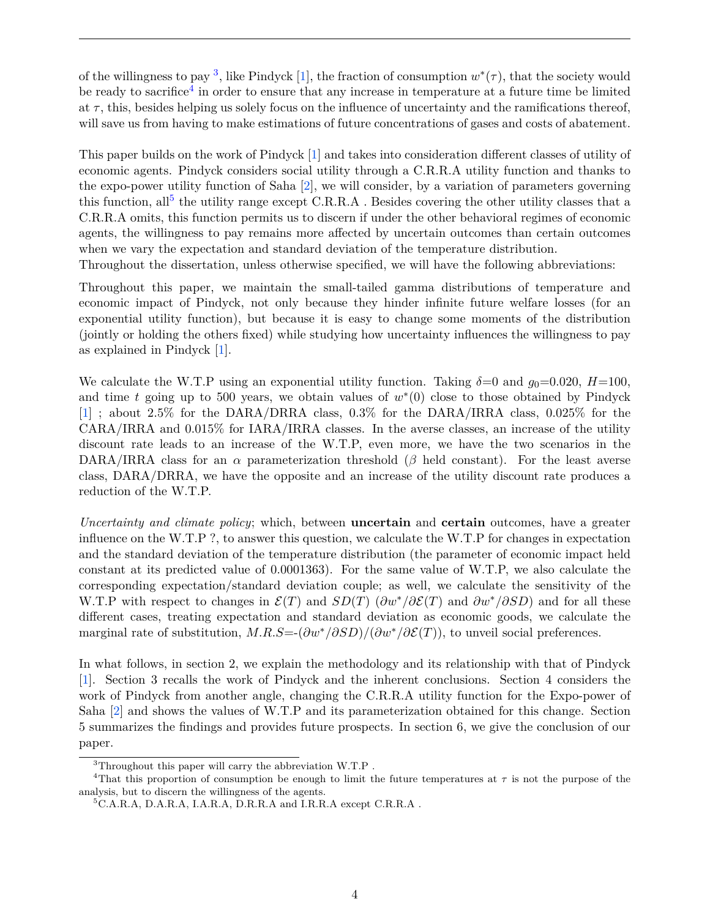of the willingness to pay <sup>3</sup>, like Pindyck [1], the fraction of consumption  $w^*(\tau)$ , that the society would be ready to sacrifice<sup>4</sup> in order to ensure that any increase in temperature at a future time be limited at  $\tau$ , this, besides helping us solely focus on the influence of uncertainty and the ramifications thereof, will save us from having to make estimations of future concentrations of gases and costs of abatement.

This paper builds on the work of Pindyck [1] and takes into consideration different classes of utility of economic agents. Pindyck considers social utility through a C.R.R.A utility function and thanks to the expo-power utility function of Saha [2], we will consider, by a variation of parameters governing this function, all<sup>5</sup> the utility range except C.R.R.A . Besides covering the other utility classes that a C.R.R.A omits, this function permits us to discern if under the other behavioral regimes of economic agents, the willingness to pay remains more affected by uncertain outcomes than certain outcomes when we vary the expectation and standard deviation of the temperature distribution.

Throughout the dissertation, unless otherwise specified, we will have the following abbreviations:

Throughout this paper, we maintain the small-tailed gamma distributions of temperature and economic impact of Pindyck, not only because they hinder infinite future welfare losses (for an exponential utility function), but because it is easy to change some moments of the distribution (jointly or holding the others fixed) while studying how uncertainty influences the willingness to pay as explained in Pindyck [1].

We calculate the W.T.P using an exponential utility function. Taking  $\delta=0$  and  $q_0=0.020$ ,  $H=100$ , and time  $t$  going up to 500 years, we obtain values of  $w^*(0)$  close to those obtained by Pindyck [1] ; about 2.5% for the DARA/DRRA class, 0.3% for the DARA/IRRA class, 0.025% for the CARA/IRRA and 0.015% for IARA/IRRA classes. In the averse classes, an increase of the utility discount rate leads to an increase of the W.T.P, even more, we have the two scenarios in the DARA/IRRA class for an  $\alpha$  parameterization threshold ( $\beta$  held constant). For the least averse class, DARA/DRRA, we have the opposite and an increase of the utility discount rate produces a reduction of the W.T.P.

*Uncertainty and climate policy*; which, between **uncertain** and **certain** outcomes, have a greater influence on the W.T.P ?, to answer this question, we calculate the W.T.P for changes in expectation and the standard deviation of the temperature distribution (the parameter of economic impact held constant at its predicted value of 0.0001363). For the same value of W.T.P, we also calculate the corresponding expectation/standard deviation couple; as well, we calculate the sensitivity of the W.T.P with respect to changes in  $\mathcal{E}(T)$  and  $SD(T)$  ( $\partial w^*/\partial \mathcal{E}(T)$ ) and  $\partial w^*/\partial SD$ ) and for all these different cases, treating expectation and standard deviation as economic goods, we calculate the marginal rate of substitution, *M.R.S*=-(*∂w*∗*/∂SD*)*/*(*∂w*∗*/∂*E(*T*)), to unveil social preferences.

In what follows, in section 2, we explain the methodology and its relationship with that of Pindyck [1]. Section 3 recalls the work of Pindyck and the inherent conclusions. Section 4 considers the work of Pindyck from another angle, changing the C.R.R.A utility function for the Expo-power of Saha [2] and shows the values of W.T.P and its parameterization obtained for this change. Section 5 summarizes the findings and provides future prospects. In section 6, we give the conclusion of our paper.

<sup>3</sup>Throughout this paper will carry the abbreviation W.T.P .

<sup>4</sup>That this proportion of consumption be enough to limit the future temperatures at *τ* is not the purpose of the analysis, but to discern the willingness of the agents.

 ${}^5$ C.A.R.A, D.A.R.A, I.A.R.A, D.R.R.A and I.R.R.A except C.R.R.A.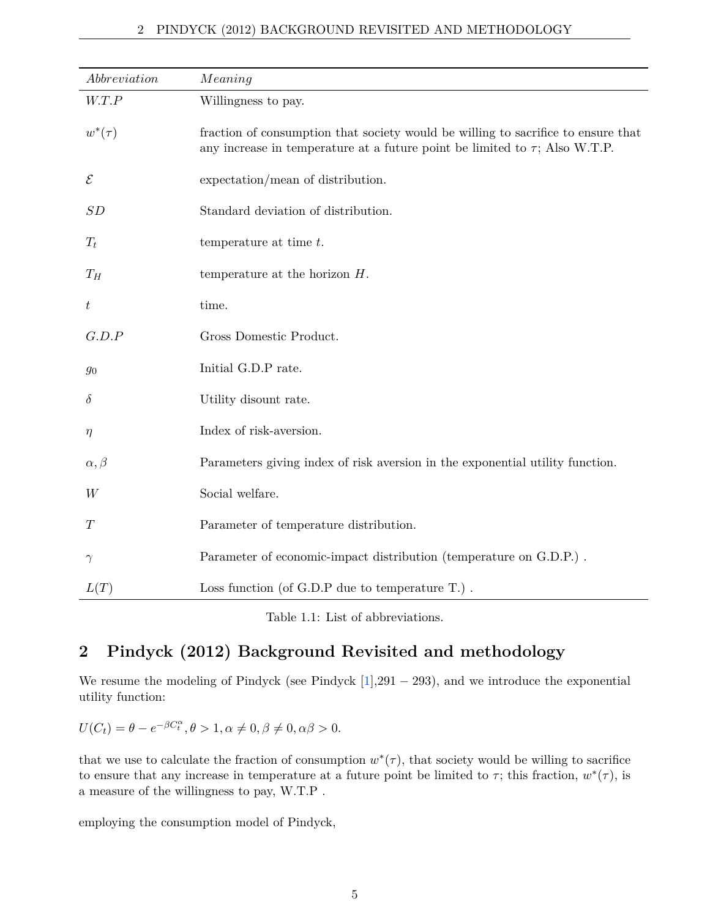| $\label{subreduction} Abbreviation$ | Meaning                                                                                                                                                               |
|-------------------------------------|-----------------------------------------------------------------------------------------------------------------------------------------------------------------------|
| W.T.P                               | Willingness to pay.                                                                                                                                                   |
| $w^*(\tau)$                         | fraction of consumption that society would be willing to sacrifice to ensure that<br>any increase in temperature at a future point be limited to $\tau$ ; Also W.T.P. |
| $\mathcal E$                        | expectation/mean of distribution.                                                                                                                                     |
| SD                                  | Standard deviation of distribution.                                                                                                                                   |
| $T_t$                               | temperature at time $t$ .                                                                                                                                             |
| $T_H$                               | temperature at the horizon $H$ .                                                                                                                                      |
| $t\,$                               | time.                                                                                                                                                                 |
| G.D.P                               | Gross Domestic Product.                                                                                                                                               |
| $\mathfrak{g}_0$                    | Initial G.D.P rate.                                                                                                                                                   |
| $\delta$                            | Utility disount rate.                                                                                                                                                 |
| $\eta$                              | Index of risk-aversion.                                                                                                                                               |
| $\alpha, \beta$                     | Parameters giving index of risk aversion in the exponential utility function.                                                                                         |
| W                                   | Social welfare.                                                                                                                                                       |
| T                                   | Parameter of temperature distribution.                                                                                                                                |
| $\gamma$                            | Parameter of economic-impact distribution (temperature on G.D.P.).                                                                                                    |
| L(T)                                | Loss function (of G.D.P due to temperature $T$ .).                                                                                                                    |

Table 1.1: List of abbreviations.

# **2 Pindyck (2012) Background Revisited and methodology**

We resume the modeling of Pindyck (see Pindyck  $[1],291 - 293$ ), and we introduce the exponential utility function:

 $U(C_t) = \theta - e^{-\beta C_t^{\alpha}}, \theta > 1, \alpha \neq 0, \beta \neq 0, \alpha \beta > 0.$ 

that we use to calculate the fraction of consumption  $w^*(\tau)$ , that society would be willing to sacrifice to ensure that any increase in temperature at a future point be limited to  $\tau$ ; this fraction,  $w^*(\tau)$ , is a measure of the willingness to pay, W.T.P .

employing the consumption model of Pindyck,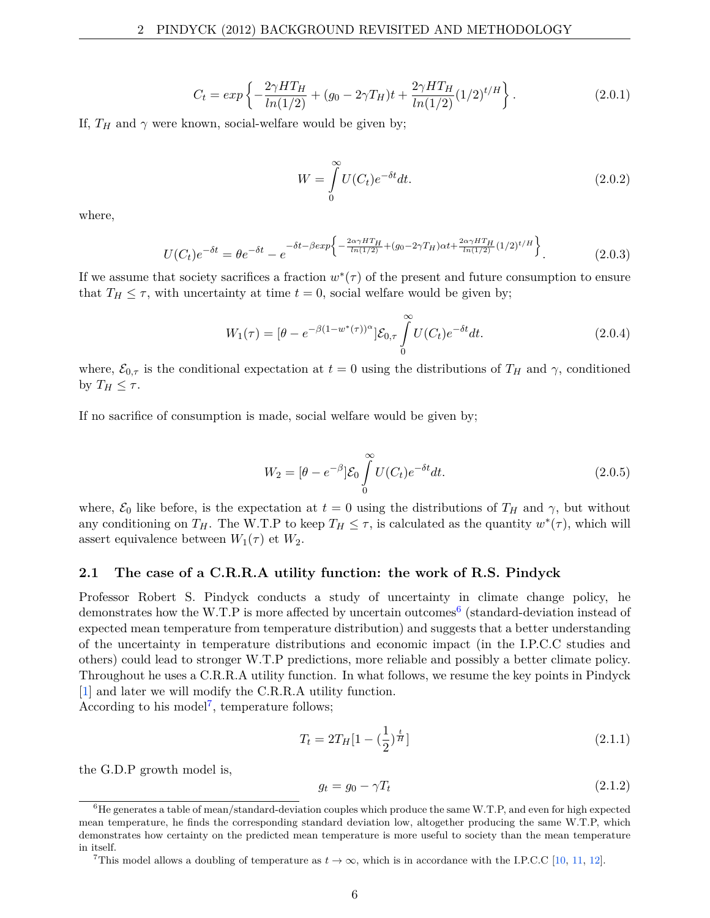$$
C_t = exp\left\{-\frac{2\gamma HT_H}{ln(1/2)} + (g_0 - 2\gamma T_H)t + \frac{2\gamma HT_H}{ln(1/2)}(1/2)^{t/H}\right\}.
$$
 (2.0.1)

If,  $T_H$  and  $\gamma$  were known, social-welfare would be given by;

$$
W = \int_{0}^{\infty} U(C_t)e^{-\delta t}dt.
$$
\n(2.0.2)

where,

$$
U(C_t)e^{-\delta t} = \theta e^{-\delta t} - e^{-\delta t - \beta \exp\left\{-\frac{2\alpha \gamma HT_H}{\ln(1/2)} + (g_0 - 2\gamma T_H)\alpha t + \frac{2\alpha \gamma HT_H}{\ln(1/2)}(1/2)^{t/H}\right\}}.
$$
(2.0.3)

If we assume that society sacrifices a fraction  $w^*(\tau)$  of the present and future consumption to ensure that  $T_H \leq \tau$ , with uncertainty at time  $t = 0$ , social welfare would be given by;

$$
W_1(\tau) = [\theta - e^{-\beta(1 - w^*(\tau))^{\alpha}}] \mathcal{E}_{0,\tau} \int_{0}^{\infty} U(C_t) e^{-\delta t} dt.
$$
 (2.0.4)

where,  $\mathcal{E}_{0,\tau}$  is the conditional expectation at  $t=0$  using the distributions of  $T_H$  and  $\gamma$ , conditioned by  $T_H \leq \tau$ .

If no sacrifice of consumption is made, social welfare would be given by;

$$
W_2 = \left[\theta - e^{-\beta}\right] \mathcal{E}_0 \int_0^\infty U(C_t) e^{-\delta t} dt. \tag{2.0.5}
$$

where,  $\mathcal{E}_0$  like before, is the expectation at  $t = 0$  using the distributions of  $T_H$  and  $\gamma$ , but without any conditioning on  $T_H$ . The W.T.P to keep  $T_H \leq \tau$ , is calculated as the quantity  $w^*(\tau)$ , which will assert equivalence between  $W_1(\tau)$  et  $W_2$ .

#### **2.1 The case of a C.R.R.A utility function: the work of R.S. Pindyck**

Professor Robert S. Pindyck conducts a study of uncertainty in climate change policy, he demonstrates how the W.T.P is more affected by uncertain outcomes<sup>6</sup> (standard-deviation instead of expected mean temperature from temperature distribution) and suggests that a better understanding of the uncertainty in temperature distributions and economic impact (in the I.P.C.C studies and others) could lead to stronger W.T.P predictions, more reliable and possibly a better climate policy. Throughout he uses a C.R.R.A utility function. In what follows, we resume the key points in Pindyck [1] and later we will modify the C.R.R.A utility function.

According to his model<sup>7</sup>, temperature follows;

$$
T_t = 2T_H[1 - (\frac{1}{2})^{\frac{t}{H}}]
$$
\n(2.1.1)

the G.D.P growth model is,

$$
g_t = g_0 - \gamma T_t \tag{2.1.2}
$$

 $6$ He generates a table of mean/standard-deviation couples which produce the same W.T.P, and even for high expected mean temperature, he finds the corresponding standard deviation low, altogether producing the same W.T.P, which demonstrates how certainty on the predicted mean temperature is more useful to society than the mean temperature in itself.

<sup>&</sup>lt;sup>7</sup>This model allows a doubling of temperature as  $t \to \infty$ , which is in accordance with the I.P.C.C [10, 11, 12].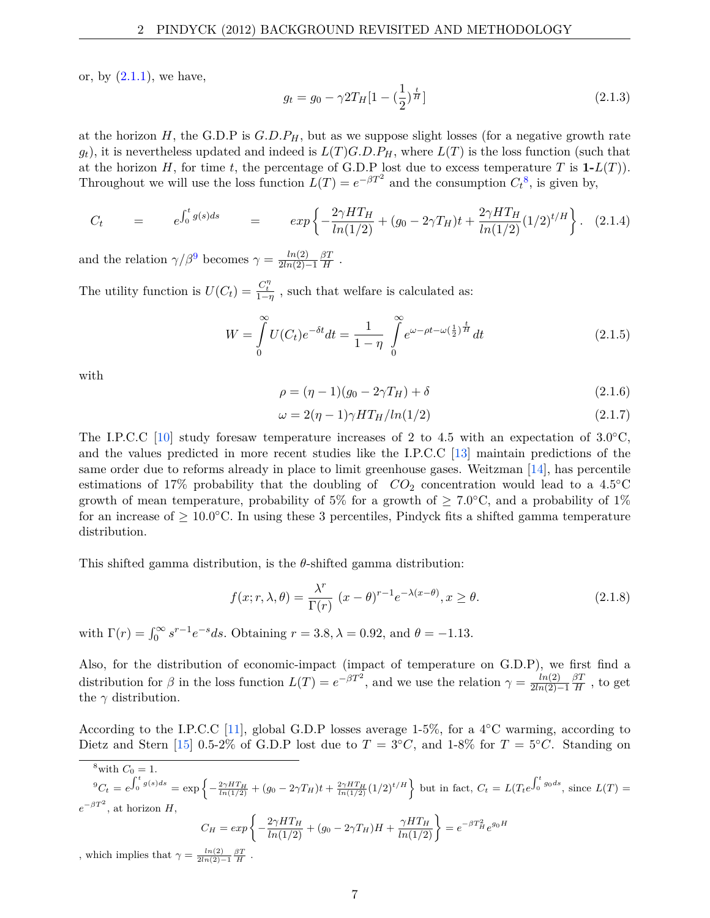or, by  $(2.1.1)$ , we have,

$$
g_t = g_0 - \gamma 2T_H \left[ 1 - \left(\frac{1}{2}\right)^{\frac{t}{H}} \right] \tag{2.1.3}
$$

at the horizon *H*, the G.D.P is  $G.D.P<sub>H</sub>$ , but as we suppose slight losses (for a negative growth rate  $g_t$ ), it is nevertheless updated and indeed is  $L(T)G.D.P<sub>H</sub>$ , where  $L(T)$  is the loss function (such that at the horizon *H*, for time *t*, the percentage of G.D.P lost due to excess temperature *T* is  $1-L(T)$ ). Throughout we will use the loss function  $L(T) = e^{-\beta T^2}$  and the consumption  $C_t^8$ , is given by,

$$
C_t = e^{\int_0^t g(s)ds} = exp\left\{-\frac{2\gamma HT_H}{\ln(1/2)} + (g_0 - 2\gamma T_H)t + \frac{2\gamma HT_H}{\ln(1/2)}(1/2)^{t/H}\right\}.
$$
 (2.1.4)

and the relation  $\gamma/\beta^9$  becomes  $\gamma = \frac{ln(2)}{2ln(2)}$ 2*ln*(2)−1 *βT*  $\frac{3I}{H}$  .

The utility function is  $U(C_t) = \frac{C_t^{\eta}}{1-\eta}$ , such that welfare is calculated as:

$$
W = \int_{0}^{\infty} U(C_t)e^{-\delta t}dt = \frac{1}{1-\eta} \int_{0}^{\infty} e^{\omega - \rho t - \omega(\frac{1}{2})^{\frac{t}{H}}}dt
$$
 (2.1.5)

with

$$
\rho = (\eta - 1)(g_0 - 2\gamma T_H) + \delta \tag{2.1.6}
$$

$$
\omega = 2(\eta - 1)\gamma HT_H / ln(1/2) \tag{2.1.7}
$$

The I.P.C.C [10] study foresaw temperature increases of 2 to 4.5 with an expectation of  $3.0\degree C$ , and the values predicted in more recent studies like the I.P.C.C [13] maintain predictions of the same order due to reforms already in place to limit greenhouse gases. Weitzman [14], has percentile estimations of 17% probability that the doubling of  $CO_2$  concentration would lead to a 4.5<sup>°</sup>C growth of mean temperature, probability of 5% for a growth of  $\geq 7.0^{\circ}$ C, and a probability of 1% for an increase of  $\geq 10.0$ °C. In using these 3 percentiles, Pindyck fits a shifted gamma temperature distribution.

This shifted gamma distribution, is the *θ*-shifted gamma distribution:

$$
f(x; r, \lambda, \theta) = \frac{\lambda^r}{\Gamma(r)} (x - \theta)^{r-1} e^{-\lambda(x-\theta)}, x \ge \theta.
$$
 (2.1.8)

with  $\Gamma(r) = \int_0^\infty s^{r-1} e^{-s} ds$ . Obtaining  $r = 3.8, \lambda = 0.92$ , and  $\theta = -1.13$ .

.

Also, for the distribution of economic-impact (impact of temperature on G.D.P), we first find a distribution for  $\beta$  in the loss function  $L(T) = e^{-\beta T^2}$ , and we use the relation  $\gamma = \frac{ln(2)}{2ln(2)}$ 2*ln*(2)−1 *βT*  $\frac{\partial T}{\partial H}$ , to get the  $\gamma$  distribution.

According to the I.P.C.C [11], global G.D.P losses average 1-5%, for a 4◦C warming, according to Dietz and Stern [15] 0.5-2% of G.D.P lost due to  $T = 3°C$ , and 1-8% for  $T = 5°C$ . Standing on

<sup>8</sup>with  $C_0 = 1$ .  ${}^{9}C_t = e^{\int_0^t g(s)ds} = \exp\left\{-\frac{2\gamma HT_H}{\ln(1/2)} + (g_0 - 2\gamma T_H)t + \frac{2\gamma HT_H}{\ln(1/2)}(1/2)^{t/H}\right\}$  but in fact,  $C_t = L(T_t e^{\int_0^t g_0 ds})$ , since  $L(T) =$  $e^{-\beta T^2}$ , at horizon *H*,  $C_H = exp\left\{-\frac{2\gamma H T_H}{ln(1/2)} + (g_0 - 2\gamma T_H)H + \frac{\gamma H T_H}{ln(1/2)}\right\} = e^{-\beta T_H^2}e^{g_0H}$ 

, which implies that  $\gamma = \frac{\ln(2)}{2\ln(2) - 1} \frac{\beta T}{H}$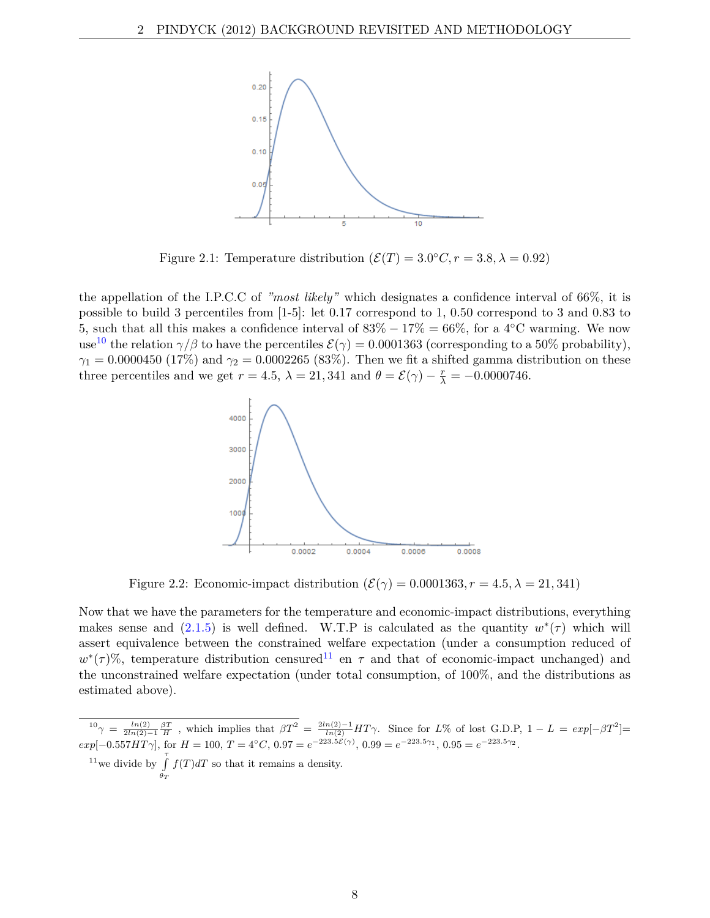

Figure 2.1: Temperature distribution  $(\mathcal{E}(T) = 3.0^{\circ}C, r = 3.8, \lambda = 0.92)$ 

the appellation of the I.P.C.C of *"most likely"* which designates a confidence interval of 66%, it is possible to build 3 percentiles from [1-5]: let 0.17 correspond to 1, 0.50 correspond to 3 and 0.83 to 5, such that all this makes a confidence interval of  $83\% - 17\% = 66\%$ , for a 4<sup>°</sup>C warming. We now use<sup>10</sup> the relation  $\gamma/\beta$  to have the percentiles  $\mathcal{E}(\gamma) = 0.0001363$  (corresponding to a 50% probability), *γ*<sub>1</sub> = 0.0000450 (17%) and *γ*<sub>2</sub> = 0.0002265 (83%). Then we fit a shifted gamma distribution on these three percentiles and we get  $r = 4.5$ ,  $\lambda = 21,341$  and  $\theta = \mathcal{E}(\gamma) - \frac{r}{\lambda} = -0.0000746$ .



Figure 2.2: Economic-impact distribution  $(\mathcal{E}(\gamma) = 0.0001363, r = 4.5, \lambda = 21,341)$ 

Now that we have the parameters for the temperature and economic-impact distributions, everything makes sense and  $(2.1.5)$  is well defined. W.T.P is calculated as the quantity  $w^*(\tau)$  which will assert equivalence between the constrained welfare expectation (under a consumption reduced of  $w^*(\tau)$ %, temperature distribution censured<sup>11</sup> en  $\tau$  and that of economic-impact unchanged) and the unconstrained welfare expectation (under total consumption, of 100%, and the distributions as estimated above).

 $\int_0^{10} \gamma = \frac{\ln(2)}{2\ln(2)-1} \frac{\beta T}{H}$ , which implies that  $\beta T^2 = \frac{2\ln(2)-1}{\ln(2)} H T \gamma$ . Since for *L*% of lost G.D.P,  $1 - L = exp[-\beta T^2]$  $exp[-0.557HT\gamma]$ , for  $H = 100$ ,  $T = 4^{\circ}C$ ,  $0.97 = e^{-223.5\mathcal{E}(\gamma)}$ ,  $0.99 = e^{-223.5\gamma_1}$ ,  $0.95 = e^{-223.5\gamma_2}$ .

<sup>11</sup>we divide by  $\int$ <sup>7</sup> *θT f*(*T*)*dT* so that it remains a density.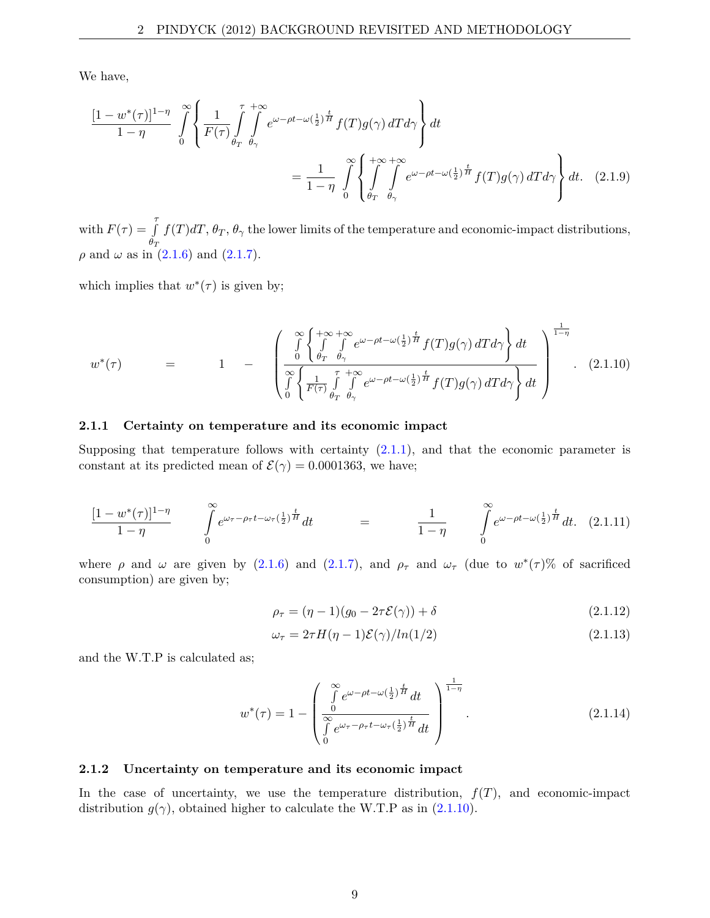We have,

$$
\frac{[1-w^*(\tau)]^{1-\eta}}{1-\eta} \int_{0}^{\infty} \left\{ \frac{1}{F(\tau)} \int_{\theta_T}^{\tau} \int_{\theta_{\gamma}}^{\infty} e^{\omega-\rho t - \omega(\frac{1}{2})^{\frac{t}{H}}} f(T)g(\gamma) dT d\gamma \right\} dt
$$

$$
= \frac{1}{1-\eta} \int_{0}^{\infty} \left\{ \int_{\theta_T}^{+\infty} \int_{\theta_{\gamma}}^{\infty} e^{\omega-\rho t - \omega(\frac{1}{2})^{\frac{t}{H}}} f(T)g(\gamma) dT d\gamma \right\} dt. \quad (2.1.9)
$$

with  $F(\tau) = \int_{0}^{\tau}$ *θT*  $f(T)dT$ ,  $\theta_T$ ,  $\theta_\gamma$  the lower limits of the temperature and economic-impact distributions, *ρ* and *ω* as in  $(2.1.6)$  and  $(2.1.7)$ .

which implies that  $w^*(\tau)$  is given by;

$$
w^*(\tau) = 1 - \left( \frac{\int_{0}^{\infty} \left\{ \int_{\theta_T}^{+\infty} \int_{\theta_\gamma}^{e^{\omega-\rho t - \omega(\frac{1}{2})^{\frac{t}{H}}} f(T)g(\gamma) dT d\gamma \right\} dt}{\int_{0}^{\infty} \left\{ \frac{1}{F(\tau)} \int_{\theta_T}^{\tau} \int_{\theta_\gamma}^{+\infty} e^{\omega-\rho t - \omega(\frac{1}{2})^{\frac{t}{H}}} f(T)g(\gamma) dT d\gamma \right\} dt} \right)^{\frac{1}{1-\eta}}.
$$
 (2.1.10)

#### **2.1.1 Certainty on temperature and its economic impact**

Supposing that temperature follows with certainty  $(2.1.1)$ , and that the economic parameter is constant at its predicted mean of  $\mathcal{E}(\gamma) = 0.0001363$ , we have;

$$
\frac{[1-w^*(\tau)]^{1-\eta}}{1-\eta} \qquad \int_{0}^{\infty} e^{\omega_{\tau}-\rho_{\tau}t-\omega_{\tau}(\frac{1}{2})^{\frac{t}{H}}}dt = \qquad \frac{1}{1-\eta} \qquad \int_{0}^{\infty} e^{\omega-\rho t-\omega(\frac{1}{2})^{\frac{t}{H}}}dt. \tag{2.1.11}
$$

where  $\rho$  and  $\omega$  are given by (2.1.6) and (2.1.7), and  $\rho_{\tau}$  and  $\omega_{\tau}$  (due to  $w^*(\tau)$ % of sacrificed consumption) are given by;

$$
\rho_{\tau} = (\eta - 1)(g_0 - 2\tau \mathcal{E}(\gamma)) + \delta \tag{2.1.12}
$$

$$
\omega_{\tau} = 2\tau H(\eta - 1)\mathcal{E}(\gamma)/\ln(1/2) \tag{2.1.13}
$$

and the W.T.P is calculated as;

$$
w^*(\tau) = 1 - \begin{pmatrix} \int_0^\infty e^{\omega - \rho t - \omega \left(\frac{1}{2}\right)^{\frac{t}{H}} dt} dt \\ \int_0^\infty e^{\omega \tau - \rho \tau t - \omega \tau \left(\frac{1}{2}\right)^{\frac{t}{H}} dt} dt \end{pmatrix}^{\frac{1}{1-\eta}}.
$$
 (2.1.14)

#### **2.1.2 Uncertainty on temperature and its economic impact**

In the case of uncertainty, we use the temperature distribution,  $f(T)$ , and economic-impact distribution  $g(\gamma)$ , obtained higher to calculate the W.T.P as in (2.1.10).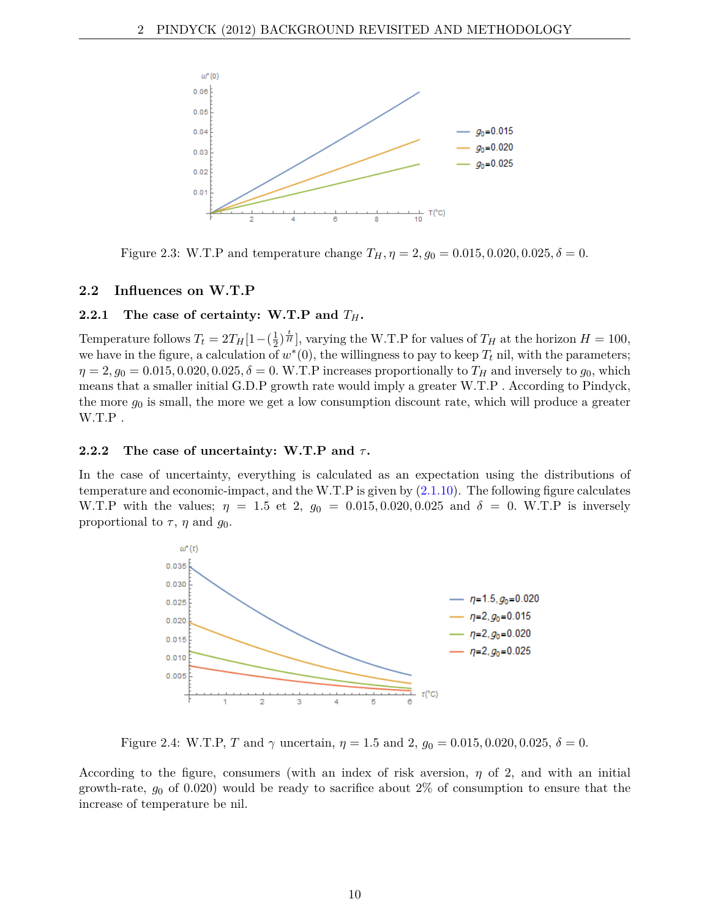

Figure 2.3: W.T.P and temperature change  $T_H$ ,  $\eta = 2$ ,  $g_0 = 0.015, 0.020, 0.025, \delta = 0$ .

## **2.2 Influences on W.T.P**

## **2.2.1** The case of certainty: W.T.P and  $T_H$ .

Temperature follows  $T_t = 2T_H[1-(\frac{1}{2})]$  $(\frac{1}{2})^{\frac{t}{H}}$ , varying the W.T.P for values of  $T_H$  at the horizon  $H = 100$ , we have in the figure, a calculation of  $w^*(0)$ , the willingness to pay to keep  $T_t$  nil, with the parameters;  $\eta = 2$ ,  $g_0 = 0.015, 0.020, 0.025, \delta = 0$ . W.T.P increases proportionally to  $T_H$  and inversely to  $g_0$ , which means that a smaller initial G.D.P growth rate would imply a greater W.T.P . According to Pindyck, the more *g*<sup>0</sup> is small, the more we get a low consumption discount rate, which will produce a greater W.T.P .

## **2.2.2 The case of uncertainty: W.T.P and** *τ* **.**

In the case of uncertainty, everything is calculated as an expectation using the distributions of temperature and economic-impact, and the W.T.P is given by (2.1.10). The following figure calculates W.T.P with the values;  $\eta = 1.5$  et 2,  $g_0 = 0.015, 0.020, 0.025$  and  $\delta = 0$ . W.T.P is inversely proportional to  $\tau$ ,  $\eta$  and  $g_0$ .



Figure 2.4: W.T.P, *T* and  $\gamma$  uncertain,  $\eta = 1.5$  and 2,  $g_0 = 0.015, 0.020, 0.025, \delta = 0$ .

According to the figure, consumers (with an index of risk aversion, *η* of 2, and with an initial growth-rate,  $g_0$  of 0.020) would be ready to sacrifice about  $2\%$  of consumption to ensure that the increase of temperature be nil.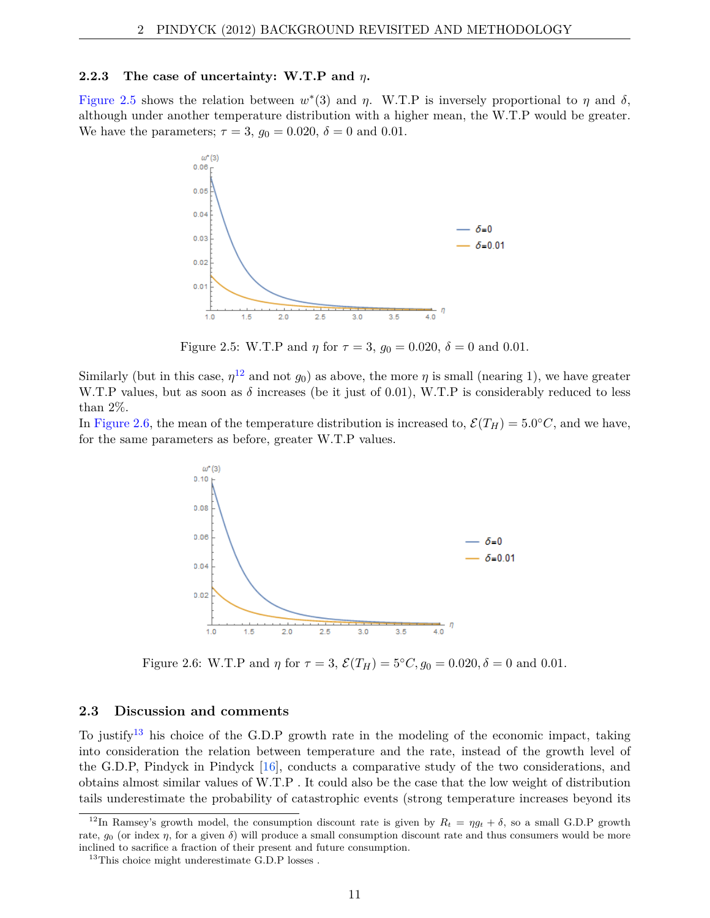#### **2.2.3 The case of uncertainty: W.T.P and** *η***.**

Figure 2.5 shows the relation between  $w^*(3)$  and  $\eta$ . W.T.P is inversely proportional to  $\eta$  and  $\delta$ , although under another temperature distribution with a higher mean, the W.T.P would be greater. We have the parameters;  $\tau = 3$ ,  $g_0 = 0.020$ ,  $\delta = 0$  and 0.01.



Figure 2.5: W.T.P and *η* for  $\tau = 3$ ,  $g_0 = 0.020$ ,  $\delta = 0$  and 0.01.

Similarly (but in this case,  $\eta^{12}$  and not  $g_0$ ) as above, the more  $\eta$  is small (nearing 1), we have greater W.T.P values, but as soon as  $\delta$  increases (be it just of 0.01), W.T.P is considerably reduced to less than 2%.

In Figure 2.6, the mean of the temperature distribution is increased to,  $\mathcal{E}(T_H) = 5.0^{\circ}C$ , and we have, for the same parameters as before, greater W.T.P values.



Figure 2.6: W.T.P and  $\eta$  for  $\tau = 3$ ,  $\mathcal{E}(T_H) = 5^{\circ}C, g_0 = 0.020, \delta = 0$  and 0.01.

#### **2.3 Discussion and comments**

To justify13 his choice of the G.D.P growth rate in the modeling of the economic impact, taking into consideration the relation between temperature and the rate, instead of the growth level of the G.D.P, Pindyck in Pindyck  $[16]$ , conducts a comparative study of the two considerations, and obtains almost similar values of W.T.P . It could also be the case that the low weight of distribution tails underestimate the probability of catastrophic events (strong temperature increases beyond its

<sup>&</sup>lt;sup>12</sup>In Ramsey's growth model, the consumption discount rate is given by  $R_t = \eta g_t + \delta$ , so a small G.D.P growth rate,  $g_0$  (or index  $\eta$ , for a given  $\delta$ ) will produce a small consumption discount rate and thus consumers would be more inclined to sacrifice a fraction of their present and future consumption.

 $13$ This choice might underestimate G.D.P losses.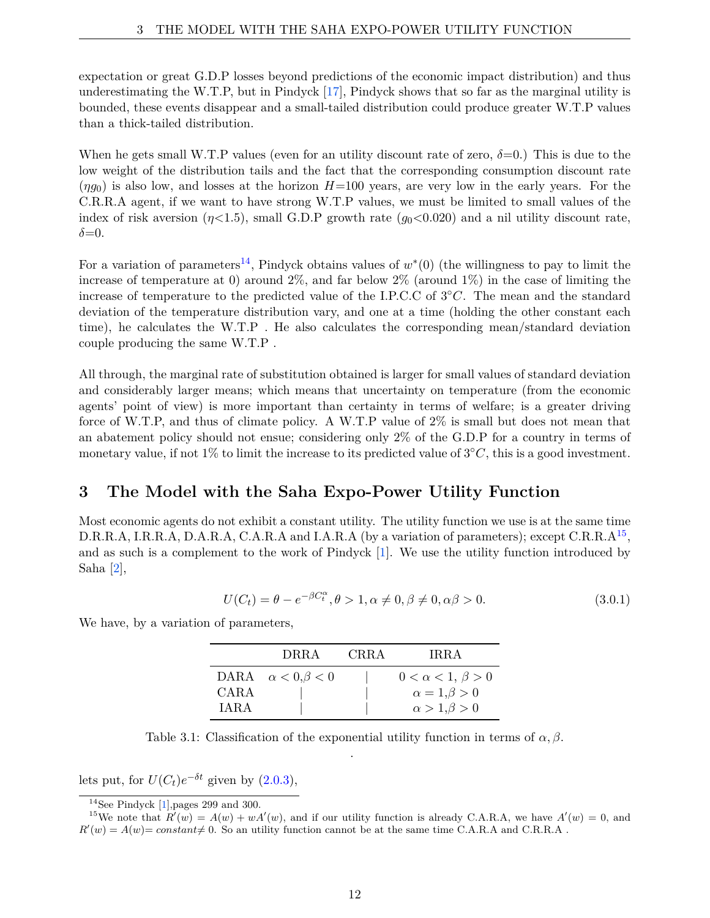expectation or great G.D.P losses beyond predictions of the economic impact distribution) and thus underestimating the W.T.P, but in Pindyck [17], Pindyck shows that so far as the marginal utility is bounded, these events disappear and a small-tailed distribution could produce greater W.T.P values than a thick-tailed distribution.

When he gets small W.T.P values (even for an utility discount rate of zero,  $\delta=0$ .) This is due to the low weight of the distribution tails and the fact that the corresponding consumption discount rate  $(\eta q_0)$  is also low, and losses at the horizon  $H=100$  years, are very low in the early years. For the C.R.R.A agent, if we want to have strong W.T.P values, we must be limited to small values of the index of risk aversion  $(\eta \langle 1.5),$  small G.D.P growth rate  $(g_0 \langle 0.020)$  and a nil utility discount rate,  $\delta = 0$ .

For a variation of parameters<sup>14</sup>, Pindyck obtains values of  $w^*(0)$  (the willingness to pay to limit the increase of temperature at 0) around  $2\%$ , and far below  $2\%$  (around  $1\%$ ) in the case of limiting the increase of temperature to the predicted value of the I.P.C.C of 3◦*C*. The mean and the standard deviation of the temperature distribution vary, and one at a time (holding the other constant each time), he calculates the W.T.P . He also calculates the corresponding mean/standard deviation couple producing the same W.T.P .

All through, the marginal rate of substitution obtained is larger for small values of standard deviation and considerably larger means; which means that uncertainty on temperature (from the economic agents' point of view) is more important than certainty in terms of welfare; is a greater driving force of W.T.P, and thus of climate policy. A W.T.P value of 2% is small but does not mean that an abatement policy should not ensue; considering only 2% of the G.D.P for a country in terms of monetary value, if not 1% to limit the increase to its predicted value of  $3°C$ , this is a good investment.

# **3 The Model with the Saha Expo-Power Utility Function**

Most economic agents do not exhibit a constant utility. The utility function we use is at the same time D.R.R.A, I.R.R.A, D.A.R.A, C.A.R.A and I.A.R.A (by a variation of parameters); except C.R.R.A<sup>15</sup>, and as such is a complement to the work of Pindyck [1]. We use the utility function introduced by Saha [2],

$$
U(C_t) = \theta - e^{-\beta C_t^{\alpha}}, \theta > 1, \alpha \neq 0, \beta \neq 0, \alpha \beta > 0.
$$
\n(3.0.1)

We have, by a variation of parameters,

|             | DRRA                         | <b>CRRA</b> | <b>IRRA</b>                 |
|-------------|------------------------------|-------------|-----------------------------|
|             | DARA $\alpha < 0, \beta < 0$ |             | $0 < \alpha < 1, \beta > 0$ |
| <b>CARA</b> |                              |             | $\alpha = 1, \beta > 0$     |
| <b>TARA</b> |                              |             | $\alpha > 1, \beta > 0$     |

Table 3.1: Classification of the exponential utility function in terms of  $\alpha, \beta$ . .

lets put, for  $U(C_t)e^{-\delta t}$  given by  $(2.0.3)$ ,

 $^{14}\mathrm{See}$  Pindyck [1],<br>pages 299 and 300.

<sup>&</sup>lt;sup>15</sup>We note that  $R'(w) = A(w) + wA'(w)$ , and if our utility function is already C.A.R.A, we have  $A'(w) = 0$ , and  $R'(w) = A(w) = constant \neq 0$ . So an utility function cannot be at the same time C.A.R.A and C.R.R.A.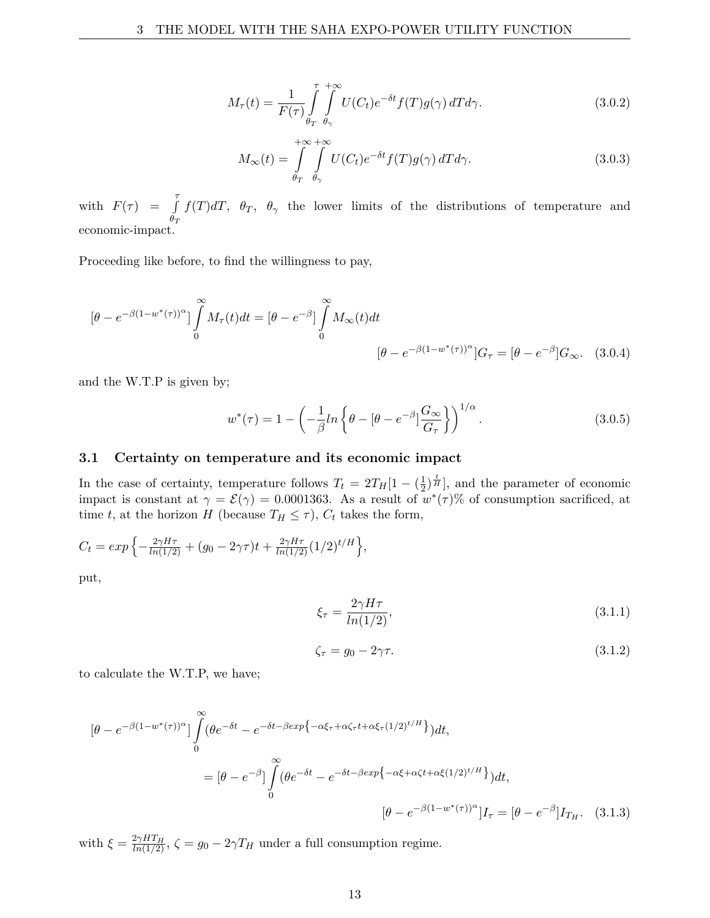$$
M_{\tau}(t) = \frac{1}{F(\tau)} \int_{\theta_T}^{\tau} \int_{\theta_{\gamma}}^{+\infty} U(C_t) e^{-\delta t} f(T) g(\gamma) dT d\gamma.
$$
 (3.0.2)

$$
M_{\infty}(t) = \int_{\theta_T}^{+\infty} \int_{\theta_{\gamma}}^{+\infty} U(C_t) e^{-\delta t} f(T) g(\gamma) dT d\gamma.
$$
 (3.0.3)

with  $F(\tau) = \int_{0}^{\tau}$ *θT f*(*T*)*dT*,  $\theta_T$ ,  $\theta_\gamma$  the lower limits of the distributions of temperature and economic-impact.

Proceeding like before, to find the willingness to pay,

$$
\left[\theta - e^{-\beta(1-w^*(\tau))^{\alpha}}\right] \int_{0}^{\infty} M_{\tau}(t)dt = \left[\theta - e^{-\beta}\right] \int_{0}^{\infty} M_{\infty}(t)dt
$$

$$
\left[\theta - e^{-\beta(1-w^*(\tau))^{\alpha}}\right]G_{\tau} = \left[\theta - e^{-\beta}\right]G_{\infty}.
$$
(3.0.4)

and the W.T.P is given by;

$$
w^*(\tau) = 1 - \left(-\frac{1}{\beta}ln\left\{\theta - \left[\theta - e^{-\beta}\right]\frac{G_{\infty}}{G_{\tau}}\right\}\right)^{1/\alpha}.
$$
 (3.0.5)

#### **3.1 Certainty on temperature and its economic impact**

In the case of certainty, temperature follows  $T_t = 2T_H[1 - (\frac{1}{2})$  $\frac{1}{2}$  $\frac{1}{H}$ , and the parameter of economic impact is constant at  $\gamma = \mathcal{E}(\gamma) = 0.0001363$ . As a result of  $w^*(\tau)$ % of consumption sacrificed, at time *t*, at the horizon *H* (because  $T_H \leq \tau$ ),  $C_t$  takes the form,

$$
C_t = exp\left\{-\frac{2\gamma H\tau}{\ln(1/2)} + (g_0 - 2\gamma \tau)t + \frac{2\gamma H\tau}{\ln(1/2)}(1/2)^{t/H}\right\},\,
$$

put,

$$
\xi_{\tau} = \frac{2\gamma H\tau}{\ln(1/2)},\tag{3.1.1}
$$

$$
\zeta_{\tau} = g_0 - 2\gamma \tau. \tag{3.1.2}
$$

to calculate the W.T.P, we have;

$$
[\theta - e^{-\beta(1 - w^*(\tau))^{\alpha}}] \int_{0}^{\infty} (\theta e^{-\delta t} - e^{-\delta t - \beta exp\{-\alpha \xi_{\tau} + \alpha \zeta_{\tau} t + \alpha \xi_{\tau}(1/2)^{t/H}\}}) dt,
$$
  
\n
$$
= [\theta - e^{-\beta}] \int_{0}^{\infty} (\theta e^{-\delta t} - e^{-\delta t - \beta exp\{-\alpha \xi + \alpha \zeta t + \alpha \xi(1/2)^{t/H}\}}) dt,
$$
  
\n
$$
[\theta - e^{-\beta(1 - w^*(\tau))^{\alpha}}] I_{\tau} = [\theta - e^{-\beta}] I_{T_H}.
$$
 (3.1.3)

with  $\xi = \frac{2\gamma HT_H}{ln(1/2)}$ ,  $\zeta = g_0 - 2\gamma T_H$  under a full consumption regime.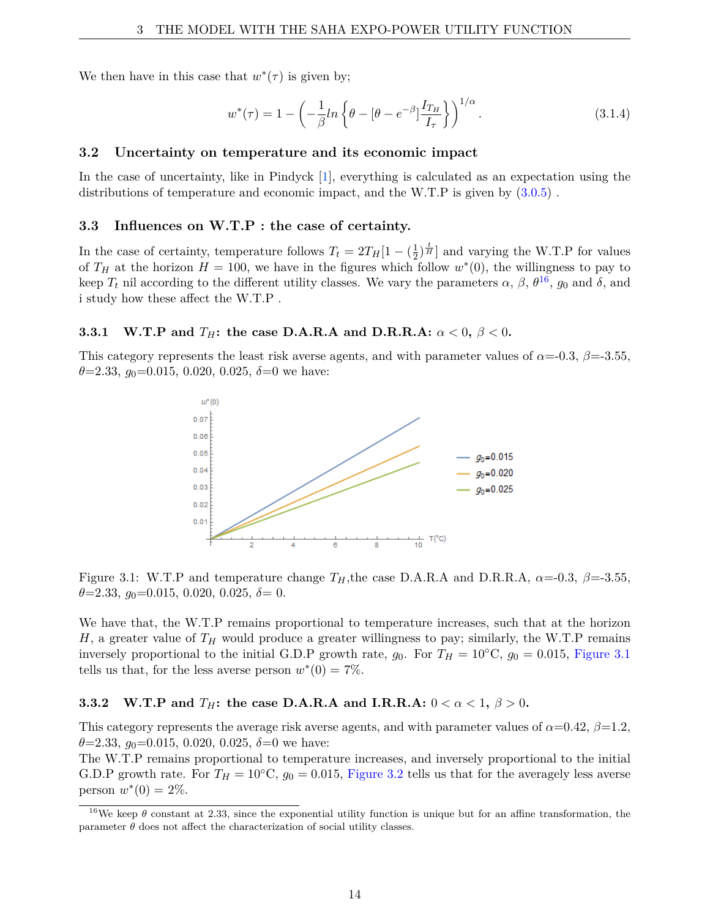We then have in this case that  $w^*(\tau)$  is given by;

$$
w^*(\tau) = 1 - \left(-\frac{1}{\beta}\ln\left\{\theta - \left[\theta - e^{-\beta}\right]\frac{I_{T_H}}{I_{\tau}}\right\}\right)^{1/\alpha}.\tag{3.1.4}
$$

### **3.2 Uncertainty on temperature and its economic impact**

In the case of uncertainty, like in Pindyck [1], everything is calculated as an expectation using the distributions of temperature and economic impact, and the W.T.P is given by  $(3.0.5)$ .

#### **3.3 Influences on W.T.P : the case of certainty.**

In the case of certainty, temperature follows  $T_t = 2T_H[1 - (\frac{1}{2})$  $\frac{1}{2}$  $\frac{1}{H}$  and varying the W.T.P for values of  $T_H$  at the horizon  $H = 100$ , we have in the figures which follow  $w^*(0)$ , the willingness to pay to keep  $T_t$  nil according to the different utility classes. We vary the parameters  $\alpha$ ,  $\beta$ ,  $\theta^{16}$ ,  $g_0$  and  $\delta$ , and i study how these affect the W.T.P .

#### **3.3.1 W.T.P** and  $T_H$ : the case D.A.R.A and D.R.R.A:  $\alpha < 0, \beta < 0$ .

This category represents the least risk averse agents, and with parameter values of  $\alpha$ =-0.3,  $\beta$ =-3.55,  $\theta = 2.33, g_0 = 0.015, 0.020, 0.025, \delta = 0$  we have:



Figure 3.1: W.T.P and temperature change  $T_H$ , the case D.A.R.A and D.R.R.A,  $\alpha$ =-0.3,  $\beta$ =-3.55, *θ*=2.33, *g*0=0.015, 0.020, 0.025, *δ*= 0.

We have that, the W.T.P remains proportional to temperature increases, such that at the horizon *H*, a greater value of  $T_H$  would produce a greater willingness to pay; similarly, the W.T.P remains inversely proportional to the initial G.D.P growth rate,  $g_0$ . For  $T_H = 10 °C$ ,  $g_0 = 0.015$ , Figure 3.1 tells us that, for the less averse person  $w^*(0) = 7\%$ .

#### **3.3.2** W.T.P and  $T_H$ : the case D.A.R.A and I.R.R.A:  $0 < \alpha < 1, \beta > 0$ .

This category represents the average risk averse agents, and with parameter values of  $\alpha$ =0.42,  $\beta$ =1.2,  $\theta = 2.33$ ,  $q_0 = 0.015$ , 0.020, 0.025,  $\delta = 0$  we have:

The W.T.P remains proportional to temperature increases, and inversely proportional to the initial G.D.P growth rate. For  $T_H = 10\degree \text{C}$ ,  $g_0 = 0.015$ , Figure 3.2 tells us that for the averagely less averse person  $w^*(0) = 2\%.$ 

<sup>&</sup>lt;sup>16</sup>We keep  $\theta$  constant at 2.33, since the exponential utility function is unique but for an affine transformation, the parameter  $\theta$  does not affect the characterization of social utility classes.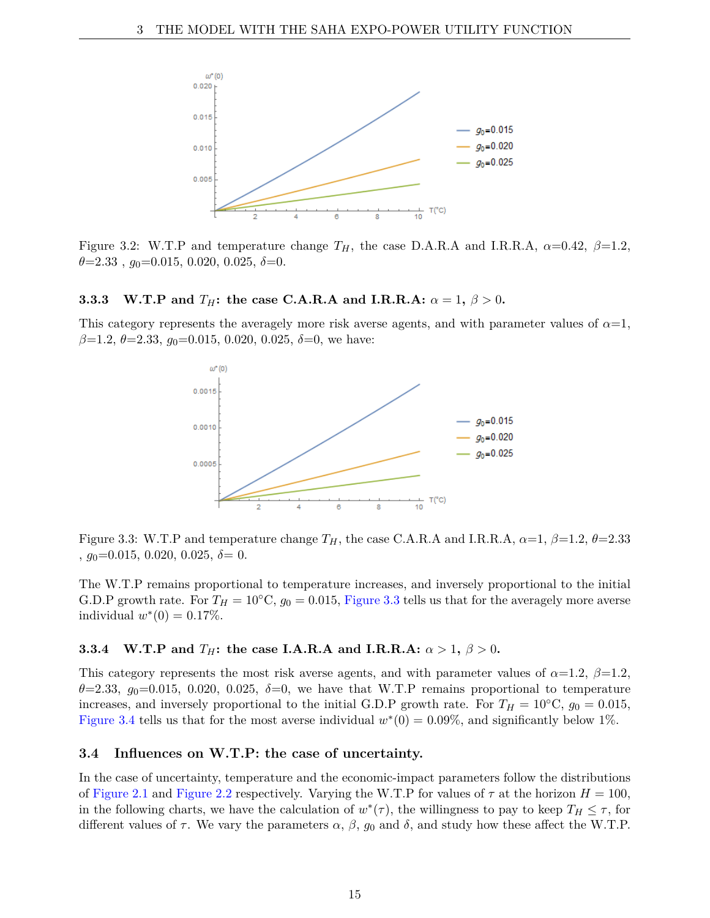

Figure 3.2: W.T.P and temperature change  $T_H$ , the case D.A.R.A and I.R.R.A,  $\alpha$ =0.42,  $\beta$ =1.2, *θ*=2.33 , *g*0=0.015, 0.020, 0.025, *δ*=0.

#### **3.3.3** W.T.P and  $T_H$ : the case C.A.R.A and I.R.R.A:  $\alpha = 1, \beta > 0$ .

This category represents the averagely more risk averse agents, and with parameter values of  $\alpha=1$ , *β*=1.2, *θ*=2.33, *g*0=0.015, 0.020, 0.025, *δ*=0, we have:



Figure 3.3: W.T.P and temperature change  $T_H$ , the case C.A.R.A and I.R.R.A,  $\alpha=1$ ,  $\beta=1.2$ ,  $\theta=2.33$ , *g*0=0.015, 0.020, 0.025, *δ*= 0.

The W.T.P remains proportional to temperature increases, and inversely proportional to the initial G.D.P growth rate. For  $T_H = 10\degree \text{C}$ ,  $g_0 = 0.015$ , Figure 3.3 tells us that for the averagely more averse individual  $w^*(0) = 0.17\%.$ 

### **3.3.4** W.T.P and  $T_H$ : the case I.A.R.A and I.R.R.A:  $\alpha > 1, \beta > 0$ .

This category represents the most risk averse agents, and with parameter values of  $\alpha=1.2$ ,  $\beta=1.2$ ,  $\theta$ =2.33,  $g_0$ =0.015, 0.020, 0.025,  $\delta$ =0, we have that W.T.P remains proportional to temperature increases, and inversely proportional to the initial G.D.P growth rate. For  $T_H = 10\degree \text{C}$ ,  $g_0 = 0.015$ , Figure 3.4 tells us that for the most averse individual  $w^*(0) = 0.09\%$ , and significantly below 1%.

### **3.4 Influences on W.T.P: the case of uncertainty.**

In the case of uncertainty, temperature and the economic-impact parameters follow the distributions of Figure 2.1 and Figure 2.2 respectively. Varying the W.T.P for values of  $\tau$  at the horizon  $H = 100$ , in the following charts, we have the calculation of  $w^*(\tau)$ , the willingness to pay to keep  $T_H \leq \tau$ , for different values of  $\tau$ . We vary the parameters  $\alpha$ ,  $\beta$ ,  $g_0$  and  $\delta$ , and study how these affect the W.T.P.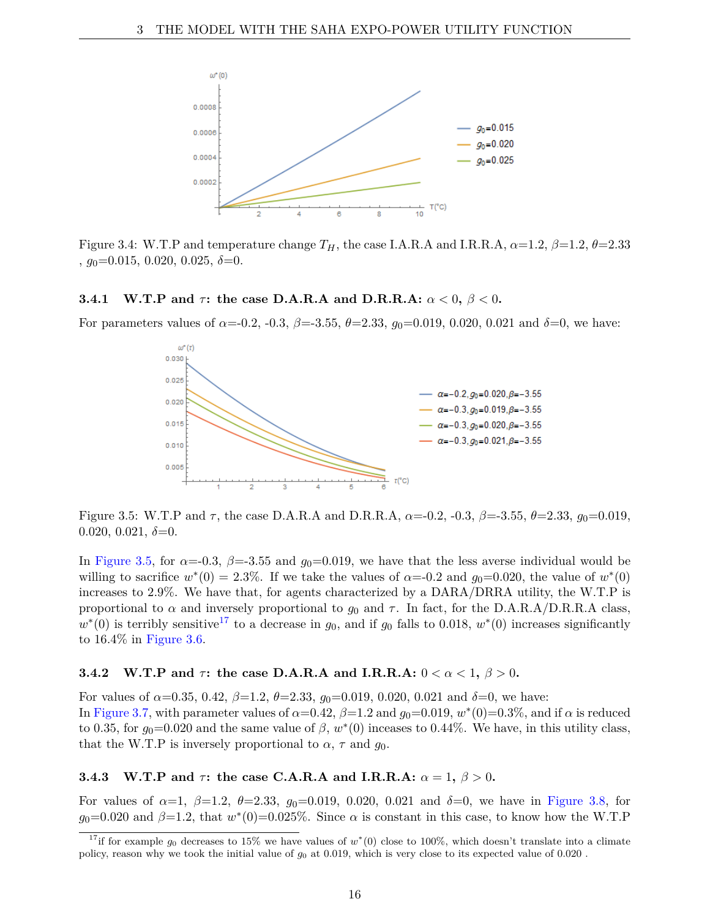

Figure 3.4: W.T.P and temperature change  $T_H$ , the case I.A.R.A and I.R.R.A,  $\alpha=1.2$ ,  $\beta=1.2$ ,  $\theta=2.33$ , *g*0=0.015, 0.020, 0.025, *δ*=0.

#### **3.4.1** W.T.P and  $\tau$ : the case D.A.R.A and D.R.R.A:  $\alpha < 0, \beta < 0$ .

For parameters values of  $\alpha$ =-0.2, -0.3,  $\beta$ =-3.55,  $\theta$ =2.33,  $g_0$ =0.019, 0.020, 0.021 and  $\delta$ =0, we have:



Figure 3.5: W.T.P and *τ* , the case D.A.R.A and D.R.R.A, *α*=-0.2, -0.3, *β*=-3.55, *θ*=2.33, *g*0=0.019, 0.020, 0.021,  $\delta = 0$ .

In Figure 3.5, for  $\alpha = -0.3$ ,  $\beta = -3.55$  and  $g_0 = 0.019$ , we have that the less averse individual would be willing to sacrifice  $w^*(0) = 2.3\%$ . If we take the values of  $\alpha = 0.2$  and  $g_0 = 0.020$ , the value of  $w^*(0)$ increases to 2.9%. We have that, for agents characterized by a DARA/DRRA utility, the W.T.P is proportional to  $\alpha$  and inversely proportional to  $g_0$  and  $\tau$ . In fact, for the D.A.R.A/D.R.R.A class,  $w^*(0)$  is terribly sensitive<sup>17</sup> to a decrease in  $g_0$ , and if  $g_0$  falls to 0.018,  $w^*(0)$  increases significantly to 16.4% in Figure 3.6.

#### **3.4.2** W.T.P and  $\tau$ : the case D.A.R.A and I.R.R.A:  $0 < \alpha < 1, \beta > 0$ .

For values of  $\alpha$ =0.35, 0.42,  $\beta$ =1.2,  $\theta$ =2.33,  $g_0$ =0.019, 0.020, 0.021 and  $\delta$ =0, we have: In Figure 3.7, with parameter values of  $\alpha=0.42$ ,  $\beta=1.2$  and  $g_0=0.019$ ,  $w^*(0)=0.3\%$ , and if  $\alpha$  is reduced to 0.35, for  $g_0=0.020$  and the same value of  $\beta$ ,  $w^*(0)$  inceases to 0.44%. We have, in this utility class, that the W.T.P is inversely proportional to  $\alpha$ ,  $\tau$  and  $g_0$ .

## **3.4.3** W.T.P and  $\tau$ : the case C.A.R.A and I.R.R.A:  $\alpha = 1, \beta > 0$ .

For values of  $\alpha = 1$ ,  $\beta = 1.2$ ,  $\theta = 2.33$ ,  $g_0 = 0.019$ , 0.020, 0.021 and  $\delta = 0$ , we have in Figure 3.8, for  $g_0=0.020$  and  $\beta=1.2$ , that  $w^*(0)=0.025\%$ . Since  $\alpha$  is constant in this case, to know how the W.T.P

<sup>&</sup>lt;sup>17</sup>if for example  $g_0$  decreases to 15% we have values of  $w^*(0)$  close to 100%, which doesn't translate into a climate policy, reason why we took the initial value of *g*<sup>0</sup> at 0.019, which is very close to its expected value of 0.020 .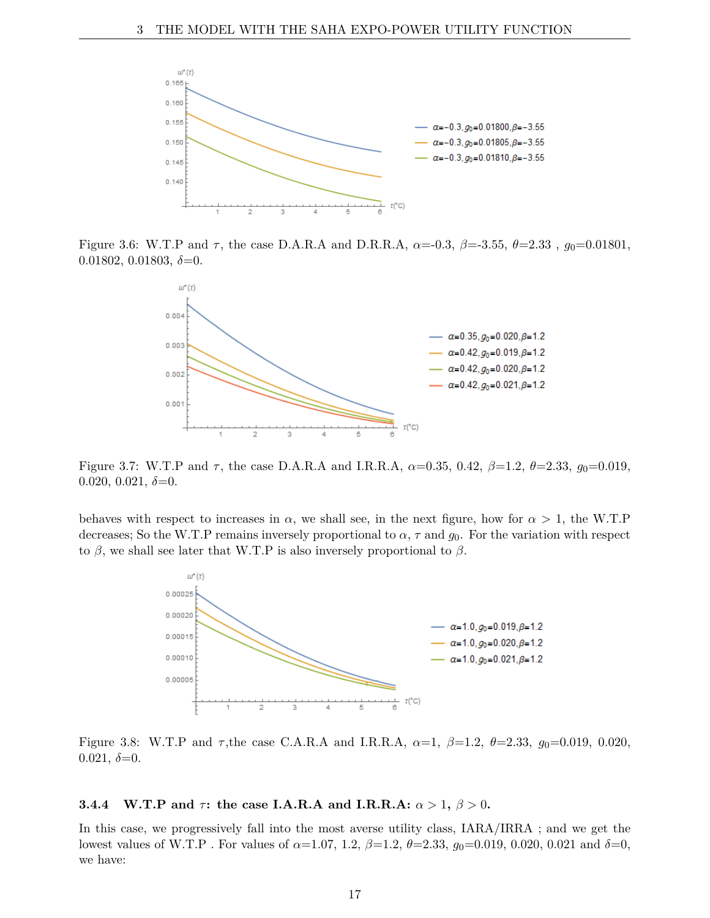

Figure 3.6: W.T.P and *τ* , the case D.A.R.A and D.R.R.A, *α*=-0.3, *β*=-3.55, *θ*=2.33 , *g*0=0.01801, 0.01802, 0.01803, *δ*=0.



Figure 3.7: W.T.P and  $\tau$ , the case D.A.R.A and I.R.R.A,  $\alpha$ =0.35, 0.42,  $\beta$ =1.2,  $\theta$ =2.33,  $g_0$ =0.019, 0.020, 0.021,  $\delta = 0$ .

behaves with respect to increases in  $\alpha$ , we shall see, in the next figure, how for  $\alpha > 1$ , the W.T.P decreases; So the W.T.P remains inversely proportional to  $\alpha$ ,  $\tau$  and  $g_0$ . For the variation with respect to *β*, we shall see later that W.T.P is also inversely proportional to *β*.



Figure 3.8: W.T.P and *τ* ,the case C.A.R.A and I.R.R.A, *α*=1, *β*=1.2, *θ*=2.33, *g*0=0.019, 0.020, 0.021,  $\delta = 0$ .

#### **3.4.4** W.T.P and  $\tau$ : the case I.A.R.A and I.R.R.A:  $\alpha > 1, \beta > 0$ .

In this case, we progressively fall into the most averse utility class, IARA/IRRA ; and we get the lowest values of W.T.P . For values of *α*=1.07, 1.2, *β*=1.2, *θ*=2.33, *g*0=0.019, 0.020, 0.021 and *δ*=0, we have: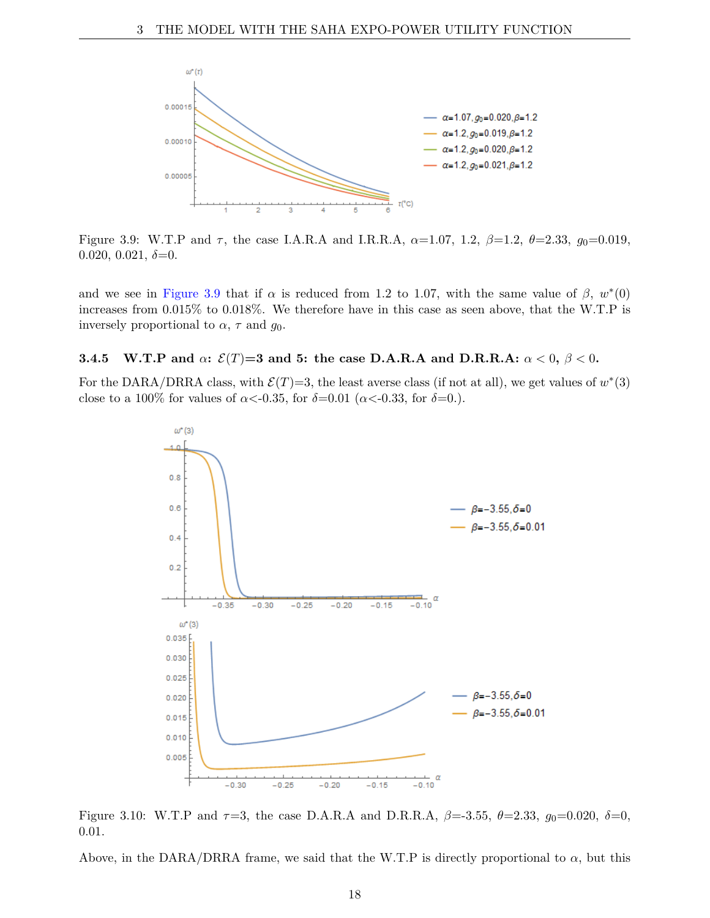

Figure 3.9: W.T.P and *τ* , the case I.A.R.A and I.R.R.A, *α*=1.07, 1.2, *β*=1.2, *θ*=2.33, *g*0=0.019,  $0.020, 0.021, \delta = 0.$ 

and we see in Figure 3.9 that if  $\alpha$  is reduced from 1.2 to 1.07, with the same value of  $\beta$ ,  $w^*(0)$ increases from 0.015% to 0.018%. We therefore have in this case as seen above, that the W.T.P is inversely proportional to  $\alpha$ ,  $\tau$  and  $g_0$ .

#### **3.4.5 W.T.P** and  $\alpha$ :  $\mathcal{E}(T)=3$  and 5: the case D.A.R.A and D.R.R.A:  $\alpha < 0, \beta < 0$ .

For the DARA/DRRA class, with  $\mathcal{E}(T)=3$ , the least averse class (if not at all), we get values of  $w^*(3)$ close to a 100% for values of  $\alpha < 0.35$ , for  $\delta = 0.01$  ( $\alpha < 0.33$ , for  $\delta = 0.$ ).



Figure 3.10: W.T.P and  $\tau=3$ , the case D.A.R.A and D.R.R.A,  $\beta=3.55$ ,  $\theta=2.33$ ,  $q_0=0.020$ ,  $\delta=0$ , 0.01.

Above, in the DARA/DRRA frame, we said that the W.T.P is directly proportional to  $\alpha$ , but this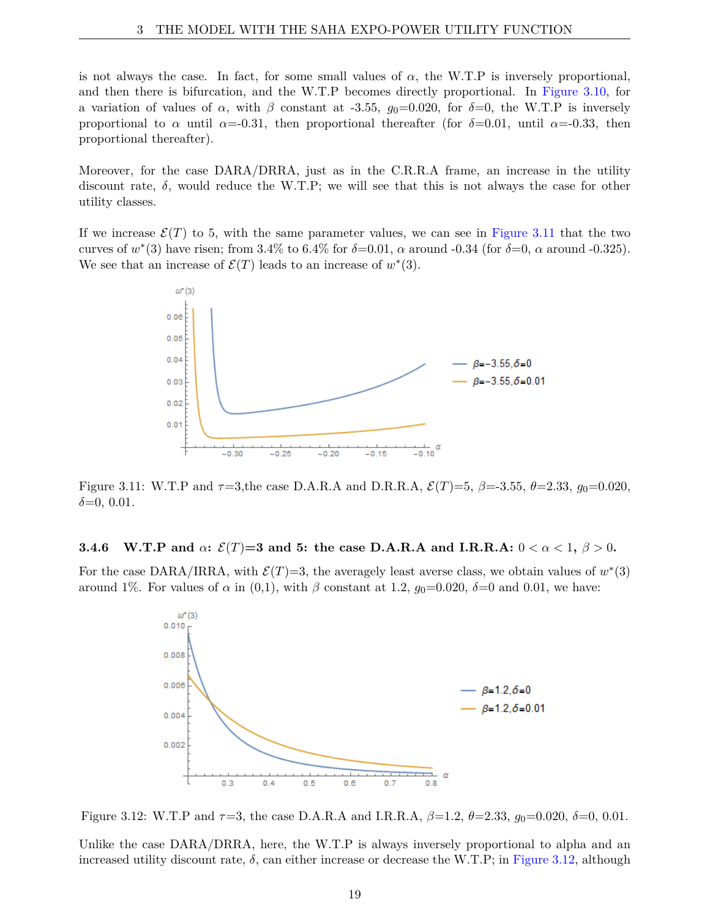is not always the case. In fact, for some small values of  $\alpha$ , the W.T.P is inversely proportional, and then there is bifurcation, and the W.T.P becomes directly proportional. In Figure 3.10, for a variation of values of  $\alpha$ , with  $\beta$  constant at -3.55,  $g_0=0.020$ , for  $\delta=0$ , the W.T.P is inversely proportional to  $\alpha$  until  $\alpha$ =-0.31, then proportional thereafter (for  $\delta$ =0.01, until  $\alpha$ =-0.33, then proportional thereafter).

Moreover, for the case DARA/DRRA, just as in the C.R.R.A frame, an increase in the utility discount rate,  $\delta$ , would reduce the W.T.P; we will see that this is not always the case for other utility classes.

If we increase  $\mathcal{E}(T)$  to 5, with the same parameter values, we can see in Figure 3.11 that the two curves of  $w^*(3)$  have risen; from 3.4% to 6.4% for  $\delta$ =0.01,  $\alpha$  around -0.34 (for  $\delta$ =0,  $\alpha$  around -0.325). We see that an increase of  $\mathcal{E}(T)$  leads to an increase of  $w^*(3)$ .



Figure 3.11: W.T.P and *τ*=3,the case D.A.R.A and D.R.R.A, E(*T*)=5, *β*=-3.55, *θ*=2.33, *g*0=0.020, *δ*=0, 0.01.

#### **3.4.6** W.T.P and  $\alpha$ :  $\mathcal{E}(T)=3$  and 5: the case D.A.R.A and I.R.R.A:  $0 < \alpha < 1, \beta > 0$ .

For the case DARA/IRRA, with  $\mathcal{E}(T)=3$ , the averagely least averse class, we obtain values of  $w^*(3)$ around 1%. For values of *α* in (0,1), with *β* constant at 1.2,  $g_0=0.020$ ,  $\delta=0$  and 0.01, we have:



Figure 3.12: W.T.P and *τ*=3, the case D.A.R.A and I.R.R.A, *β*=1.2, *θ*=2.33, *g*0=0.020, *δ*=0, 0.01.

Unlike the case DARA/DRRA, here, the W.T.P is always inversely proportional to alpha and an increased utility discount rate,  $\delta$ , can either increase or decrease the W.T.P; in Figure 3.12, although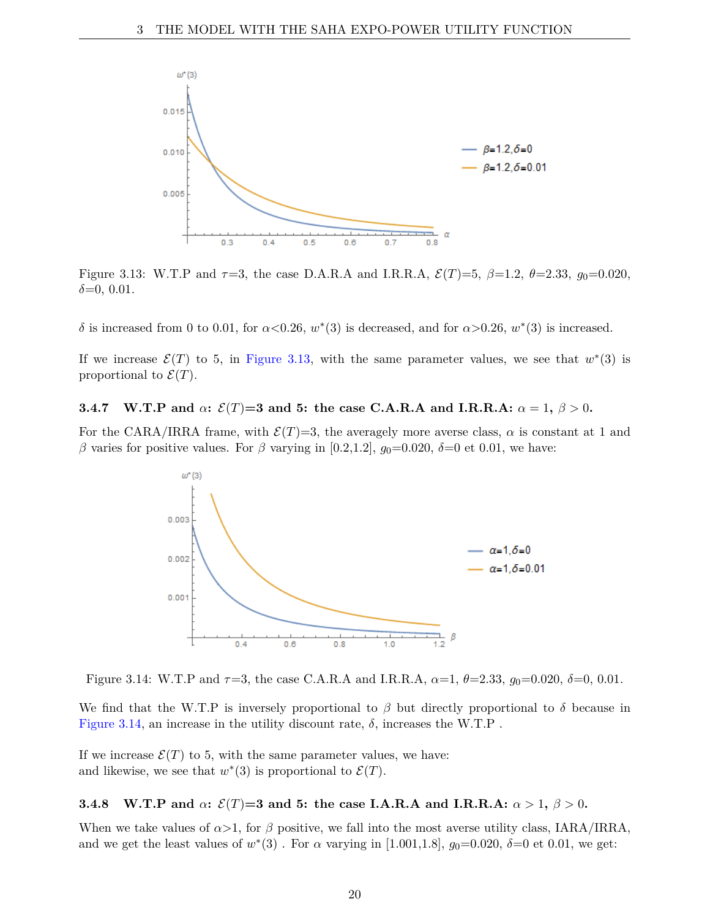

Figure 3.13: W.T.P and  $\tau=3$ , the case D.A.R.A and I.R.R.A,  $\mathcal{E}(T)=5$ ,  $\beta=1.2$ ,  $\theta=2.33$ ,  $g_0=0.020$ , *δ*=0, 0.01.

*δ* is increased from 0 to 0.01, for  $\alpha < 0.26$ ,  $w^*(3)$  is decreased, and for  $\alpha > 0.26$ ,  $w^*(3)$  is increased.

If we increase  $\mathcal{E}(T)$  to 5, in Figure 3.13, with the same parameter values, we see that  $w^*(3)$  is proportional to  $\mathcal{E}(T)$ .

#### **3.4.7** W.T.P and  $\alpha$ :  $\mathcal{E}(T)=3$  and 5: the case C.A.R.A and I.R.R.A:  $\alpha = 1, \beta > 0$ .

For the CARA/IRRA frame, with  $\mathcal{E}(T)=3$ , the averagely more averse class,  $\alpha$  is constant at 1 and *β* varies for positive values. For *β* varying in [0.2,1.2],  $g_0=0.020$ ,  $\delta=0$  et 0.01, we have:



Figure 3.14: W.T.P and *τ*=3, the case C.A.R.A and I.R.R.A, *α*=1, *θ*=2.33, *g*0=0.020, *δ*=0, 0.01.

We find that the W.T.P is inversely proportional to  $\beta$  but directly proportional to  $\delta$  because in Figure 3.14, an increase in the utility discount rate,  $\delta$ , increases the W.T.P.

If we increase  $\mathcal{E}(T)$  to 5, with the same parameter values, we have: and likewise, we see that  $w^*(3)$  is proportional to  $\mathcal{E}(T)$ .

#### **3.4.8** W.T.P and  $\alpha$ :  $\mathcal{E}(T)=3$  and 5: the case I.A.R.A and I.R.R.A:  $\alpha > 1$ ,  $\beta > 0$ .

When we take values of  $\alpha > 1$ , for  $\beta$  positive, we fall into the most averse utility class, IARA/IRRA, and we get the least values of  $w^*(3)$ . For  $\alpha$  varying in [1.001,1.8],  $g_0=0.020, \delta=0$  et 0.01, we get: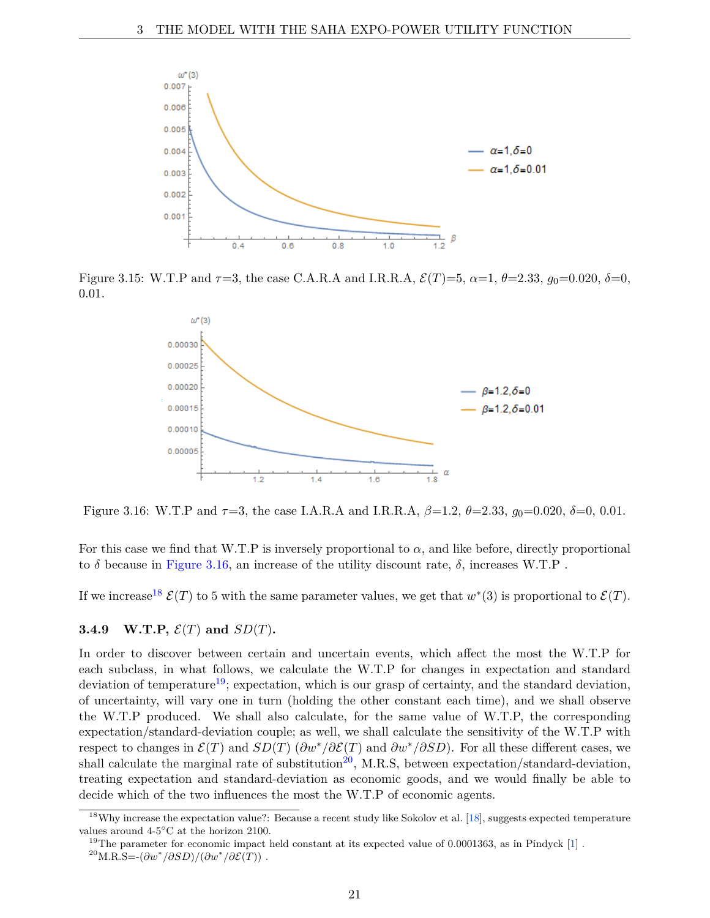

Figure 3.15: W.T.P and  $\tau=3$ , the case C.A.R.A and I.R.R.A,  $\mathcal{E}(T)=5$ ,  $\alpha=1$ ,  $\theta=2.33$ ,  $g_0=0.020$ ,  $\delta=0$ , 0.01.



Figure 3.16: W.T.P and *τ*=3, the case I.A.R.A and I.R.R.A, *β*=1.2, *θ*=2.33, *g*0=0.020, *δ*=0, 0.01.

For this case we find that W.T.P is inversely proportional to  $\alpha$ , and like before, directly proportional to  $\delta$  because in Figure 3.16, an increase of the utility discount rate,  $\delta$ , increases W.T.P.

If we increase<sup>18</sup>  $\mathcal{E}(T)$  to 5 with the same parameter values, we get that  $w^*(3)$  is proportional to  $\mathcal{E}(T)$ .

#### **3.4.9** W.T.P,  $\mathcal{E}(T)$  and  $SD(T)$ .

In order to discover between certain and uncertain events, which affect the most the W.T.P for each subclass, in what follows, we calculate the W.T.P for changes in expectation and standard deviation of temperature<sup>19</sup>; expectation, which is our grasp of certainty, and the standard deviation, of uncertainty, will vary one in turn (holding the other constant each time), and we shall observe the W.T.P produced. We shall also calculate, for the same value of W.T.P, the corresponding expectation/standard-deviation couple; as well, we shall calculate the sensitivity of the W.T.P with respect to changes in  $\mathcal{E}(T)$  and  $SD(T)$  ( $\partial w^*/\partial \mathcal{E}(T)$  and  $\partial w^*/\partial SD$ ). For all these different cases, we shall calculate the marginal rate of substitution<sup>20</sup>, M.R.S, between expectation/standard-deviation, treating expectation and standard-deviation as economic goods, and we would finally be able to decide which of the two influences the most the W.T.P of economic agents.

<sup>&</sup>lt;sup>18</sup>Why increase the expectation value?: Because a recent study like Sokolov et al.  $[18]$ , suggests expected temperature values around 4-5◦C at the horizon 2100.

 $19$ The parameter for economic impact held constant at its expected value of 0.0001363, as in Pindyck [1].

<sup>&</sup>lt;sup>20</sup>M.R.S=- $(\partial w^*/\partial SD)/(\partial w^*/\partial \mathcal{E}(T))$ .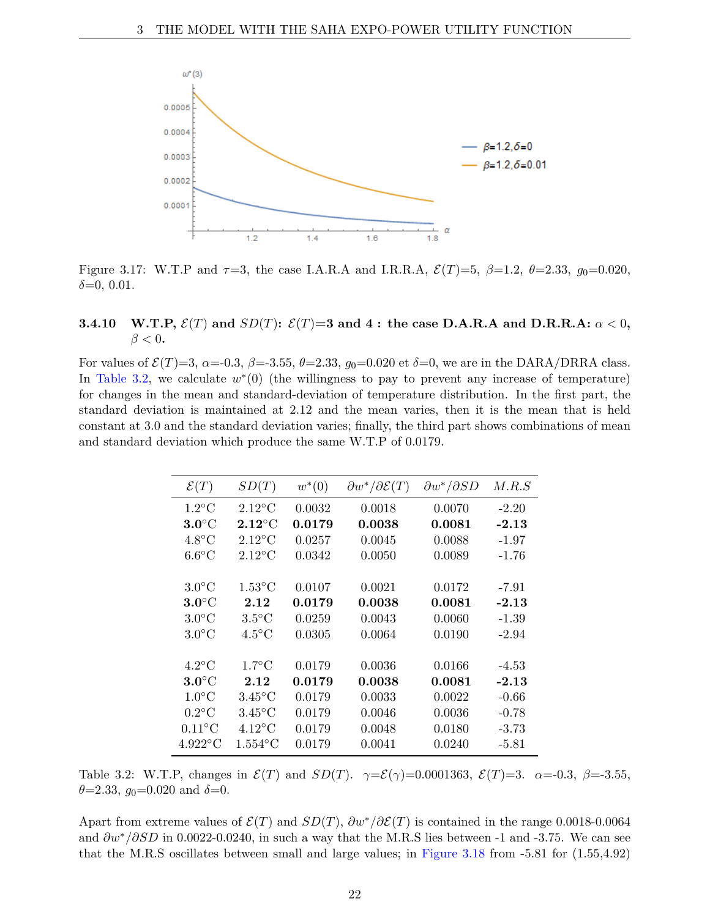

Figure 3.17: W.T.P and  $\tau=3$ , the case I.A.R.A and I.R.R.A,  $\mathcal{E}(T)=5$ ,  $\beta=1.2$ ,  $\theta=2.33$ ,  $g_0=0.020$ , *δ*=0, 0.01.

## **3.4.10** W.T.P,  $\mathcal{E}(T)$  and  $SD(T)$ :  $\mathcal{E}(T)=3$  and  $4$ : the case D.A.R.A and D.R.R.A:  $\alpha < 0$ ,  $\beta < 0$ .

For values of  $\mathcal{E}(T)=3$ ,  $\alpha=-0.3$ ,  $\beta=-3.55$ ,  $\theta=2.33$ ,  $g_0=0.020$  et  $\delta=0$ , we are in the DARA/DRRA class. In Table 3.2, we calculate  $w^*(0)$  (the willingness to pay to prevent any increase of temperature) for changes in the mean and standard-deviation of temperature distribution. In the first part, the standard deviation is maintained at 2.12 and the mean varies, then it is the mean that is held constant at 3.0 and the standard deviation varies; finally, the third part shows combinations of mean and standard deviation which produce the same W.T.P of 0.0179.

| $\mathcal{E}(T)$          | SD(T)            | $w^*(0)$ | $\partial w^* / \partial \mathcal{E}(T)$ | $\partial w^* / \partial SD$ | M.R.S   |
|---------------------------|------------------|----------|------------------------------------------|------------------------------|---------|
| $1.2^{\circ}$ C           | $2.12^{\circ}$ C | 0.0032   | 0.0018                                   | 0.0070                       | $-2.20$ |
| $3.0^{\circ}$ C           | $2.12^{\circ}$ C | 0.0179   | 0.0038                                   | 0.0081                       | $-2.13$ |
| $4.8^{\circ}$ C           | $2.12^{\circ}$ C | 0.0257   | 0.0045                                   | 0.0088                       | $-1.97$ |
| $6.6^{\circ}$ C           | $2.12^{\circ}$ C | 0.0342   | 0.0050                                   | 0.0089                       | $-1.76$ |
|                           |                  |          |                                          |                              |         |
| $3.0^{\circ}$ C           | $1.53^{\circ}$ C | 0.0107   | 0.0021                                   | 0.0172                       | $-7.91$ |
| $3.0^{\circ}$ C           | 2.12             | 0.0179   | 0.0038                                   | 0.0081                       | $-2.13$ |
| $3.0^{\circ}$ C           | $3.5^{\circ}$ C  | 0.0259   | 0.0043                                   | 0.0060                       | $-1.39$ |
| $3.0^{\circ}$ C           | $4.5^{\circ}$ C  | 0.0305   | 0.0064                                   | 0.0190                       | $-2.94$ |
|                           |                  |          |                                          |                              |         |
| $4.2^{\circ}$ C           | $1.7^{\circ}$ C  | 0.0179   | 0.0036                                   | 0.0166                       | $-4.53$ |
| $3.0^{\circ}$ C           | 2.12             | 0.0179   | 0.0038                                   | 0.0081                       | $-2.13$ |
| $1.0^{\circ}$ C           | $3.45^{\circ}$ C | 0.0179   | 0.0033                                   | 0.0022                       | $-0.66$ |
| $0.2^{\circ}$ C           | $3.45^{\circ}$ C | 0.0179   | 0.0046                                   | 0.0036                       | $-0.78$ |
| $0.11^{\circ}$ C          | $4.12^{\circ}$ C | 0.0179   | 0.0048                                   | 0.0180                       | $-3.73$ |
| $4.922^{\circ}\mathrm{C}$ | $1.554$ °C       | 0.0179   | 0.0041                                   | 0.0240                       | $-5.81$ |

Table 3.2: W.T.P, changes in  $\mathcal{E}(T)$  and  $SD(T)$ .  $\gamma = \mathcal{E}(\gamma) = 0.0001363$ ,  $\mathcal{E}(T) = 3$ .  $\alpha = -0.3$ ,  $\beta = -3.55$ ,  $\theta = 2.33$ ,  $g_0 = 0.020$  and  $\delta = 0$ .

Apart from extreme values of  $\mathcal{E}(T)$  and  $SD(T)$ ,  $\partial w^*/\partial \mathcal{E}(T)$  is contained in the range 0.0018-0.0064 and *∂w*∗*/∂SD* in 0.0022-0.0240, in such a way that the M.R.S lies between -1 and -3.75. We can see that the M.R.S oscillates between small and large values; in Figure 3.18 from -5.81 for (1.55,4.92)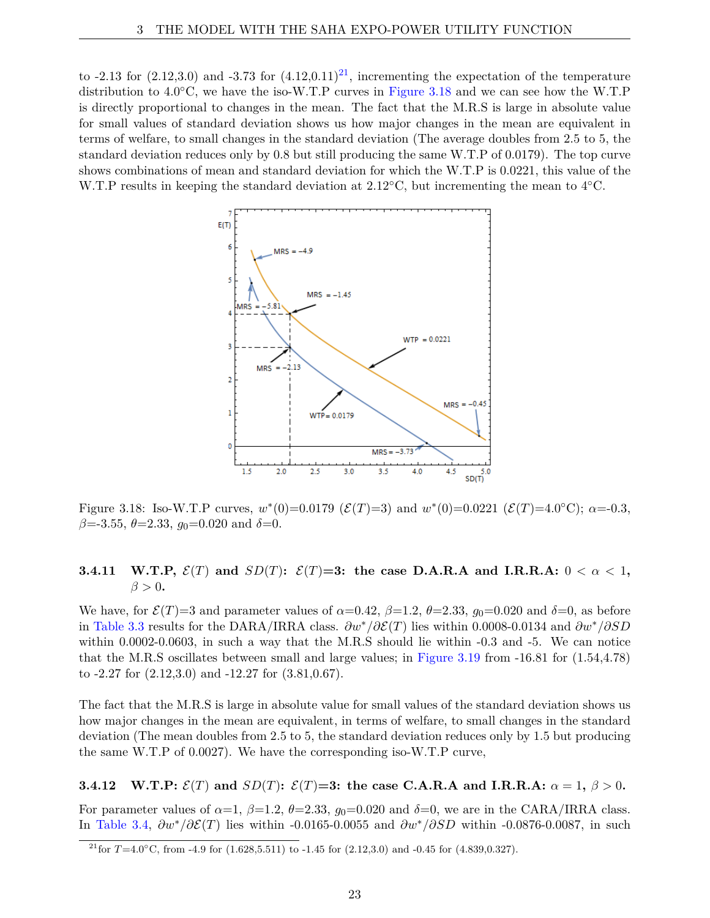to -2.13 for  $(2.12,3.0)$  and -3.73 for  $(4.12,0.11)^{21}$ , incrementing the expectation of the temperature distribution to 4.0◦C, we have the iso-W.T.P curves in Figure 3.18 and we can see how the W.T.P is directly proportional to changes in the mean. The fact that the M.R.S is large in absolute value for small values of standard deviation shows us how major changes in the mean are equivalent in terms of welfare, to small changes in the standard deviation (The average doubles from 2.5 to 5, the standard deviation reduces only by 0.8 but still producing the same W.T.P of 0.0179). The top curve shows combinations of mean and standard deviation for which the W.T.P is 0.0221, this value of the W.T.P results in keeping the standard deviation at  $2.12\textdegree C$ , but incrementing the mean to  $4\textdegree C$ .



Figure 3.18: Iso-W.T.P curves,  $w^*(0) = 0.0179$  ( $\mathcal{E}(T) = 3$ ) and  $w^*(0) = 0.0221$  ( $\mathcal{E}(T) = 4.0 °C$ );  $\alpha = -0.3$ , *β*=-3.55, *θ*=2.33, *g*0=0.020 and *δ*=0.

## **3.4.11** W.T.P,  $\mathcal{E}(T)$  and  $SD(T)$ :  $\mathcal{E}(T)=3$ : the case D.A.R.A and I.R.R.A:  $0 < \alpha < 1$ ,  $\beta > 0$ .

We have, for  $\mathcal{E}(T)=3$  and parameter values of  $\alpha=0.42$ ,  $\beta=1.2$ ,  $\theta=2.33$ ,  $g_0=0.020$  and  $\delta=0$ , as before in Table 3.3 results for the DARA/IRRA class. *∂w*∗*/∂*E(*T*) lies within 0.0008-0.0134 and *∂w*∗*/∂SD* within 0.0002-0.0603, in such a way that the M.R.S should lie within -0.3 and -5. We can notice that the M.R.S oscillates between small and large values; in Figure 3.19 from -16.81 for (1.54,4.78) to -2.27 for (2.12,3.0) and -12.27 for (3.81,0.67).

The fact that the M.R.S is large in absolute value for small values of the standard deviation shows us how major changes in the mean are equivalent, in terms of welfare, to small changes in the standard deviation (The mean doubles from 2.5 to 5, the standard deviation reduces only by 1.5 but producing the same W.T.P of 0.0027). We have the corresponding iso-W.T.P curve,

**3.4.12** W.T.P:  $\mathcal{E}(T)$  and  $SD(T)$ :  $\mathcal{E}(T)=3$ : the case C.A.R.A and I.R.R.A:  $\alpha = 1, \beta > 0$ .

For parameter values of  $\alpha=1$ ,  $\beta=1.2$ ,  $\theta=2.33$ ,  $g_0=0.020$  and  $\delta=0$ , we are in the CARA/IRRA class. In Table 3.4, *∂w*∗*/∂*E(*T*) lies within -0.0165-0.0055 and *∂w*∗*/∂SD* within -0.0876-0.0087, in such

<sup>&</sup>lt;sup>21</sup>for *T*=4.0°C, from -4.9 for (1.628,5.511) to -1.45 for (2.12,3.0) and -0.45 for (4.839,0.327).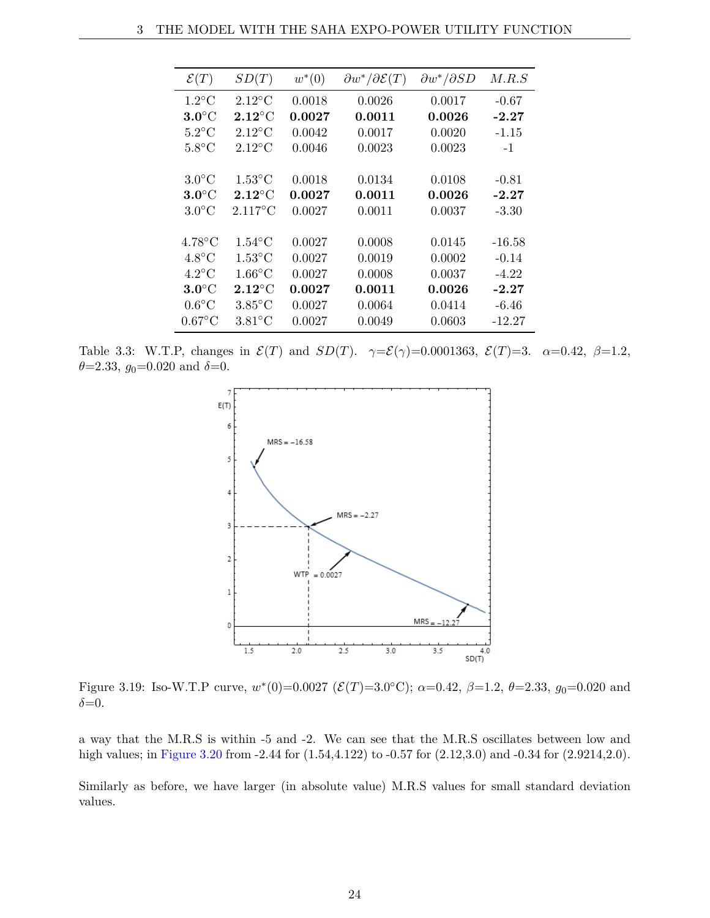| $\mathcal{E}(T)$ | SD(T)             | $w^*(0)$ | $\partial w^* / \partial \mathcal{E}(T)$ | $\partial w^* / \partial SD$ | M.R.S    |
|------------------|-------------------|----------|------------------------------------------|------------------------------|----------|
| $1.2$ °C         | $2.12^{\circ}$ C  | 0.0018   | 0.0026                                   | 0.0017                       | $-0.67$  |
| $3.0^{\circ}$ C  | $2.12^{\circ}$ C  | 0.0027   | 0.0011                                   | 0.0026                       | $-2.27$  |
| $5.2^{\circ}$ C  | $2.12^{\circ}$ C  | 0.0042   | 0.0017                                   | 0.0020                       | $-1.15$  |
| $5.8^{\circ}$ C  | $2.12^{\circ}$ C  | 0.0046   | 0.0023                                   | 0.0023                       | $-1$     |
|                  |                   |          |                                          |                              |          |
| $3.0^{\circ}$ C  | $1.53^{\circ}$ C  | 0.0018   | 0.0134                                   | 0.0108                       | $-0.81$  |
| $3.0^{\circ}$ C  | $2.12^{\circ}$ C  | 0.0027   | 0.0011                                   | $\boldsymbol{0.0026}$        | $-2.27$  |
| $3.0^{\circ}$ C  | $2.117^{\circ}$ C | 0.0027   | 0.0011                                   | 0.0037                       | $-3.30$  |
|                  |                   |          |                                          |                              |          |
| $4.78^{\circ}$ C | $1.54^{\circ}$ C  | 0.0027   | 0.0008                                   | 0.0145                       | $-16.58$ |
| $4.8^{\circ}$ C  | $1.53^{\circ}$ C  | 0.0027   | 0.0019                                   | 0.0002                       | $-0.14$  |
| $4.2^{\circ}$ C  | $1.66^{\circ}$ C  | 0.0027   | 0.0008                                   | 0.0037                       | $-4.22$  |
| $3.0^{\circ}$ C  | $2.12^{\circ}$ C  | 0.0027   | 0.0011                                   | $\boldsymbol{0.0026}$        | $-2.27$  |
| $0.6^{\circ}$ C  | $3.85^{\circ}$ C  | 0.0027   | 0.0064                                   | 0.0414                       | $-6.46$  |
| $0.67$ °C        | $3.81^{\circ}$ C  | 0.0027   | 0.0049                                   | 0.0603                       | $-12.27$ |

Table 3.3: W.T.P, changes in  $\mathcal{E}(T)$  and  $SD(T)$ .  $\gamma = \mathcal{E}(\gamma) = 0.0001363$ ,  $\mathcal{E}(T) = 3$ .  $\alpha = 0.42$ ,  $\beta = 1.2$ ,  $\theta = 2.33$ ,  $g_0 = 0.020$  and  $\delta = 0$ .



Figure 3.19: Iso-W.T.P curve,  $w^*(0) = 0.0027$  ( $\mathcal{E}(T) = 3.0$ °C);  $\alpha = 0.42$ ,  $\beta = 1.2$ ,  $\theta = 2.33$ ,  $g_0 = 0.020$  and *δ*=0.

a way that the M.R.S is within -5 and -2. We can see that the M.R.S oscillates between low and high values; in Figure 3.20 from -2.44 for  $(1.54, 4.122)$  to -0.57 for  $(2.12, 3.0)$  and -0.34 for  $(2.9214, 2.0)$ .

Similarly as before, we have larger (in absolute value) M.R.S values for small standard deviation values.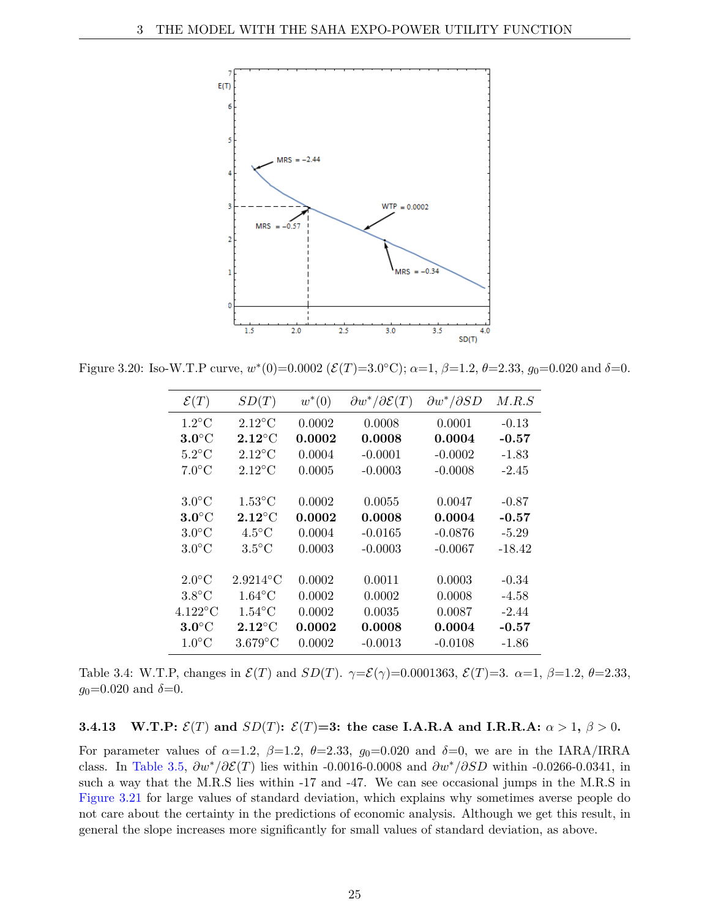

Figure 3.20: Iso-W.T.P curve,  $w^*(0) = 0.0002$  ( $\mathcal{E}(T) = 3.0$ °C);  $\alpha = 1, \beta = 1.2, \theta = 2.33, g_0 = 0.020$  and  $\delta = 0$ .

| $\mathcal{E}(T)$     | SD(T)            | $w^*(0)$              | $\partial w^* / \partial \mathcal{E}(T)$ | $\partial w^* / \partial SD$ | M.R.S    |
|----------------------|------------------|-----------------------|------------------------------------------|------------------------------|----------|
| $1.2^{\circ}$ C      | $2.12^{\circ}$ C | 0.0002                | 0.0008                                   | 0.0001                       | $-0.13$  |
| $3.0^{\circ}$ C      | $2.12^{\circ}$ C | 0.0002                | 0.0008                                   | 0.0004                       | $-0.57$  |
| $5.2$ °C             | $2.12^{\circ}$ C | 0.0004                | $-0.0001$                                | $-0.0002$                    | $-1.83$  |
| $7.0^{\circ}$ C      | $2.12^{\circ}$ C | 0.0005                | $-0.0003$                                | $-0.0008$                    | $-2.45$  |
|                      |                  |                       |                                          |                              |          |
| $3.0^{\circ}$ C      | $1.53^{\circ}$ C | 0.0002                | 0.0055                                   | 0.0047                       | $-0.87$  |
| $3.0^{\circ}$ C      | $2.12^{\circ}$ C | 0.0002                | 0.0008                                   | 0.0004                       | $-0.57$  |
| $3.0^{\circ}$ C      | $4.5^{\circ}$ C  | 0.0004                | $-0.0165$                                | $-0.0876$                    | $-5.29$  |
| $3.0^{\circ}$ C      | $3.5^{\circ}$ C  | 0.0003                | $-0.0003$                                | $-0.0067$                    | $-18.42$ |
|                      |                  |                       |                                          |                              |          |
| $2.0^{\circ}$ C      | $2.9214$ °C      | 0.0002                | 0.0011                                   | 0.0003                       | $-0.34$  |
| $3.8^{\circ}$ C      | $1.64$ °C        | 0.0002                | 0.0002                                   | 0.0008                       | $-4.58$  |
| $4.122\textdegree C$ | $1.54$ °C        | 0.0002                | 0.0035                                   | 0.0087                       | $-2.44$  |
| $3.0^{\circ}$ C      | $2.12^{\circ}$ C | $\boldsymbol{0.0002}$ | 0.0008                                   | 0.0004                       | $-0.57$  |
| $1.0^{\circ}$ C      | $3.679$ °C       | 0.0002                | $-0.0013$                                | $-0.0108$                    | $-1.86$  |

Table 3.4: W.T.P, changes in  $\mathcal{E}(T)$  and  $SD(T)$ .  $\gamma = \mathcal{E}(\gamma) = 0.0001363$ ,  $\mathcal{E}(T) = 3$ .  $\alpha = 1$ ,  $\beta = 1.2$ ,  $\theta = 2.33$ ,  $g_0$ =0.020 and  $\delta$ =0.

### **3.4.13** W.T.P:  $\mathcal{E}(T)$  and  $SD(T)$ :  $\mathcal{E}(T)=3$ : the case I.A.R.A and I.R.R.A:  $\alpha > 1$ ,  $\beta > 0$ .

For parameter values of  $\alpha=1.2$ ,  $\beta=1.2$ ,  $\theta=2.33$ ,  $g_0=0.020$  and  $\delta=0$ , we are in the IARA/IRRA class. In Table 3.5, *∂w*∗*/∂*E(*T*) lies within -0.0016-0.0008 and *∂w*∗*/∂SD* within -0.0266-0.0341, in such a way that the M.R.S lies within -17 and -47. We can see occasional jumps in the M.R.S in Figure 3.21 for large values of standard deviation, which explains why sometimes averse people do not care about the certainty in the predictions of economic analysis. Although we get this result, in general the slope increases more significantly for small values of standard deviation, as above.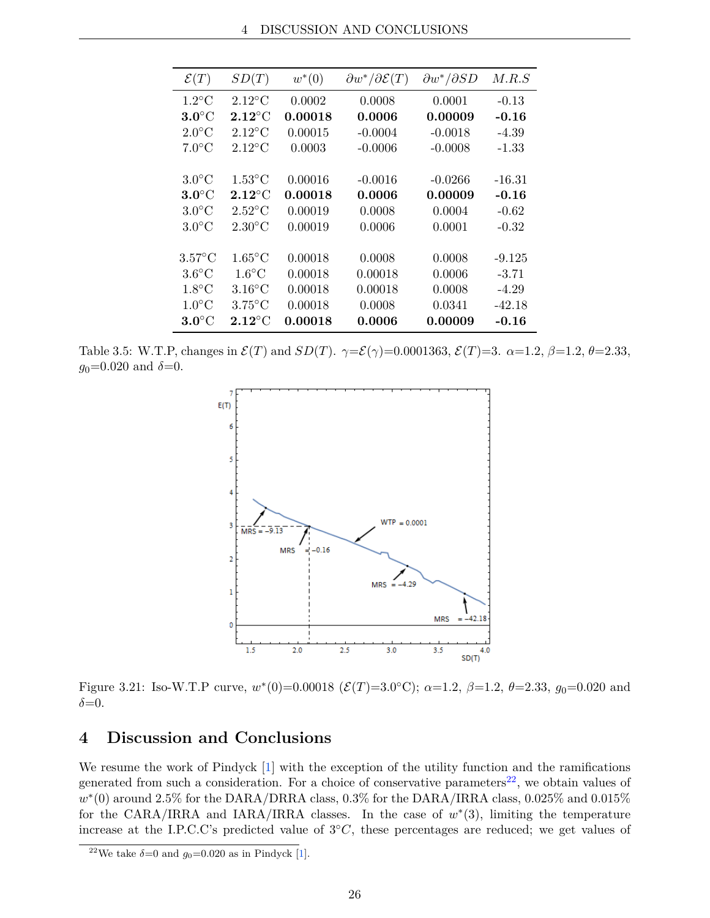| $\mathcal{E}(T)$ | SD(T)                    | $w^*(0)$ | $\partial w^* / \partial \mathcal{E}(T)$ | $\partial w^* / \partial SD$ | M.R.S    |
|------------------|--------------------------|----------|------------------------------------------|------------------------------|----------|
| $1.2^{\circ}$ C  | $2.12^{\circ}$ C         | 0.0002   | 0.0008                                   | 0.0001                       | $-0.13$  |
| $3.0^{\circ}$ C  | $2.12^{\circ}$ C         | 0.00018  | 0.0006                                   | 0.00009                      | $-0.16$  |
| $2.0^{\circ}$ C  | $2.12^{\circ}$ C         | 0.00015  | $-0.0004$                                | $-0.0018$                    | $-4.39$  |
| $7.0^{\circ}$ C  | $2.12^{\circ}$ C         | 0.0003   | $-0.0006$                                | $-0.0008$                    | $-1.33$  |
|                  |                          |          |                                          |                              |          |
| $3.0^{\circ}$ C  | $1.53^{\circ}$ C         | 0.00016  | $-0.0016$                                | $-0.0266$                    | $-16.31$ |
| $3.0^{\circ}$ C  | $2.12^{\circ}\mathrm{C}$ | 0.00018  | 0.0006                                   | 0.00009                      | $-0.16$  |
| $3.0^{\circ}$ C  | $2.52^{\circ}$ C         | 0.00019  | 0.0008                                   | 0.0004                       | $-0.62$  |
| $3.0^{\circ}$ C  | $2.30^{\circ}$ C         | 0.00019  | 0.0006                                   | 0.0001                       | $-0.32$  |
|                  |                          |          |                                          |                              |          |
| $3.57^{\circ}$ C | $1.65^{\circ}$ C         | 0.00018  | 0.0008                                   | 0.0008                       | $-9.125$ |
| $3.6^{\circ}$ C  | $1.6^{\circ}$ C          | 0.00018  | 0.00018                                  | 0.0006                       | $-3.71$  |
| $1.8^{\circ}$ C  | $3.16^{\circ}$ C         | 0.00018  | 0.00018                                  | 0.0008                       | $-4.29$  |
| $1.0^{\circ}$ C  | $3.75^{\circ}$ C         | 0.00018  | 0.0008                                   | 0.0341                       | $-42.18$ |
| $3.0^{\circ}$ C  | $2.12^{\circ}$ C         | 0.00018  | 0.0006                                   | 0.00009                      | $-0.16$  |

Table 3.5: W.T.P, changes in  $\mathcal{E}(T)$  and  $SD(T)$ .  $\gamma = \mathcal{E}(\gamma) = 0.0001363$ ,  $\mathcal{E}(T) = 3$ .  $\alpha = 1.2$ ,  $\beta = 1.2$ ,  $\theta = 2.33$ ,  $g_0$ =0.020 and  $\delta$ =0.



Figure 3.21: Iso-W.T.P curve,  $w^*(0) = 0.00018$  ( $\mathcal{E}(T) = 3.0$ °C);  $\alpha = 1.2$ ,  $\beta = 1.2$ ,  $\theta = 2.33$ ,  $g_0 = 0.020$  and  $\delta = 0$ .

# **4 Discussion and Conclusions**

We resume the work of Pindyck [1] with the exception of the utility function and the ramifications generated from such a consideration. For a choice of conservative parameters<sup>22</sup>, we obtain values of  $w^*(0)$  around 2.5% for the DARA/DRRA class, 0.3% for the DARA/IRRA class, 0.025% and 0.015% for the CARA/IRRA and IARA/IRRA classes. In the case of  $w^*(3)$ , limiting the temperature increase at the I.P.C.C's predicted value of 3◦*C*, these percentages are reduced; we get values of

<sup>&</sup>lt;sup>22</sup>We take  $\delta$ =0 and  $g_0$ =0.020 as in Pindyck [1].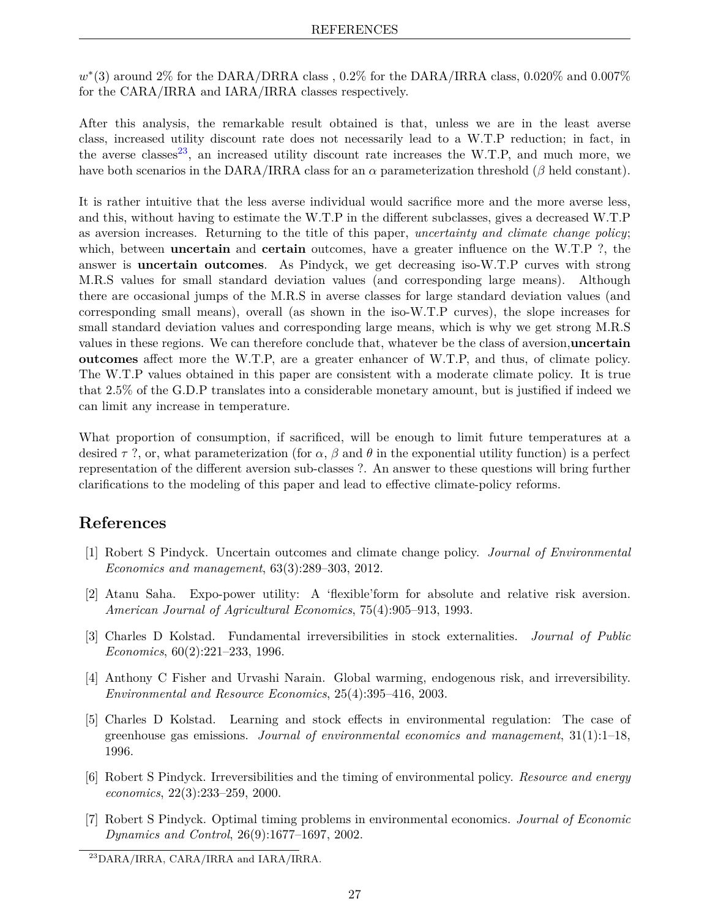$w^*(3)$  around 2% for the DARA/DRRA class, 0.2% for the DARA/IRRA class, 0.020% and 0.007% for the CARA/IRRA and IARA/IRRA classes respectively.

After this analysis, the remarkable result obtained is that, unless we are in the least averse class, increased utility discount rate does not necessarily lead to a W.T.P reduction; in fact, in the averse classes<sup>23</sup>, an increased utility discount rate increases the W.T.P, and much more, we have both scenarios in the DARA/IRRA class for an *α* parameterization threshold (*β* held constant).

It is rather intuitive that the less averse individual would sacrifice more and the more averse less, and this, without having to estimate the W.T.P in the different subclasses, gives a decreased W.T.P as aversion increases. Returning to the title of this paper, *uncertainty and climate change policy*; which, between **uncertain** and **certain** outcomes, have a greater influence on the W.T.P ?, the answer is **uncertain outcomes**. As Pindyck, we get decreasing iso-W.T.P curves with strong M.R.S values for small standard deviation values (and corresponding large means). Although there are occasional jumps of the M.R.S in averse classes for large standard deviation values (and corresponding small means), overall (as shown in the iso-W.T.P curves), the slope increases for small standard deviation values and corresponding large means, which is why we get strong M.R.S values in these regions. We can therefore conclude that, whatever be the class of aversion,**uncertain outcomes** affect more the W.T.P, are a greater enhancer of W.T.P, and thus, of climate policy. The W.T.P values obtained in this paper are consistent with a moderate climate policy. It is true that 2.5% of the G.D.P translates into a considerable monetary amount, but is justified if indeed we can limit any increase in temperature.

What proportion of consumption, if sacrificed, will be enough to limit future temperatures at a desired  $\tau$ ?, or, what parameterization (for  $\alpha$ ,  $\beta$  and  $\theta$  in the exponential utility function) is a perfect representation of the different aversion sub-classes ?. An answer to these questions will bring further clarifications to the modeling of this paper and lead to effective climate-policy reforms.

## **References**

- [1] Robert S Pindyck. Uncertain outcomes and climate change policy. *Journal of Environmental Economics and management*, 63(3):289–303, 2012.
- [2] Atanu Saha. Expo-power utility: A 'flexible'form for absolute and relative risk aversion. *American Journal of Agricultural Economics*, 75(4):905–913, 1993.
- [3] Charles D Kolstad. Fundamental irreversibilities in stock externalities. *Journal of Public Economics*, 60(2):221–233, 1996.
- [4] Anthony C Fisher and Urvashi Narain. Global warming, endogenous risk, and irreversibility. *Environmental and Resource Economics*, 25(4):395–416, 2003.
- [5] Charles D Kolstad. Learning and stock effects in environmental regulation: The case of greenhouse gas emissions. *Journal of environmental economics and management*, 31(1):1–18, 1996.
- [6] Robert S Pindyck. Irreversibilities and the timing of environmental policy. *Resource and energy economics*, 22(3):233–259, 2000.
- [7] Robert S Pindyck. Optimal timing problems in environmental economics. *Journal of Economic Dynamics and Control*, 26(9):1677–1697, 2002.

<sup>23</sup>DARA/IRRA, CARA/IRRA and IARA/IRRA.